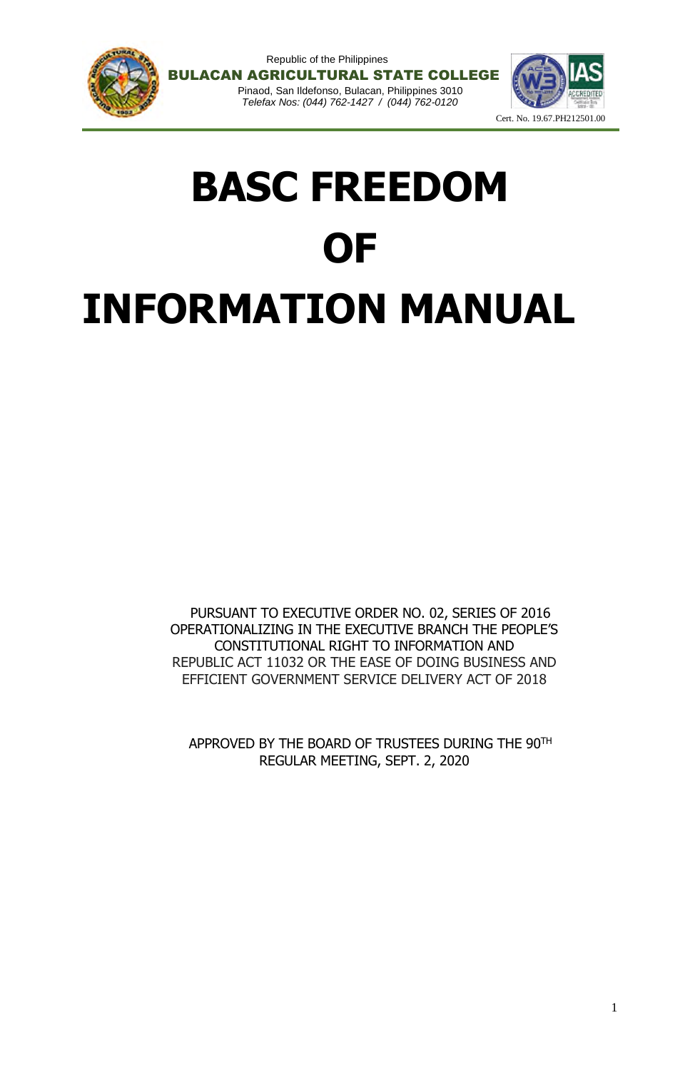





# **BASC FREEDOM OF INFORMATION MANUAL**

PURSUANT TO EXECUTIVE ORDER NO. 02, SERIES OF 2016 OPERATIONALIZING IN THE EXECUTIVE BRANCH THE PEOPLE'S CONSTITUTIONAL RIGHT TO INFORMATION AND REPUBLIC ACT 11032 OR THE EASE OF DOING BUSINESS AND EFFICIENT GOVERNMENT SERVICE DELIVERY ACT OF 2018

APPROVED BY THE BOARD OF TRUSTEES DURING THE 90TH REGULAR MEETING, SEPT. 2, 2020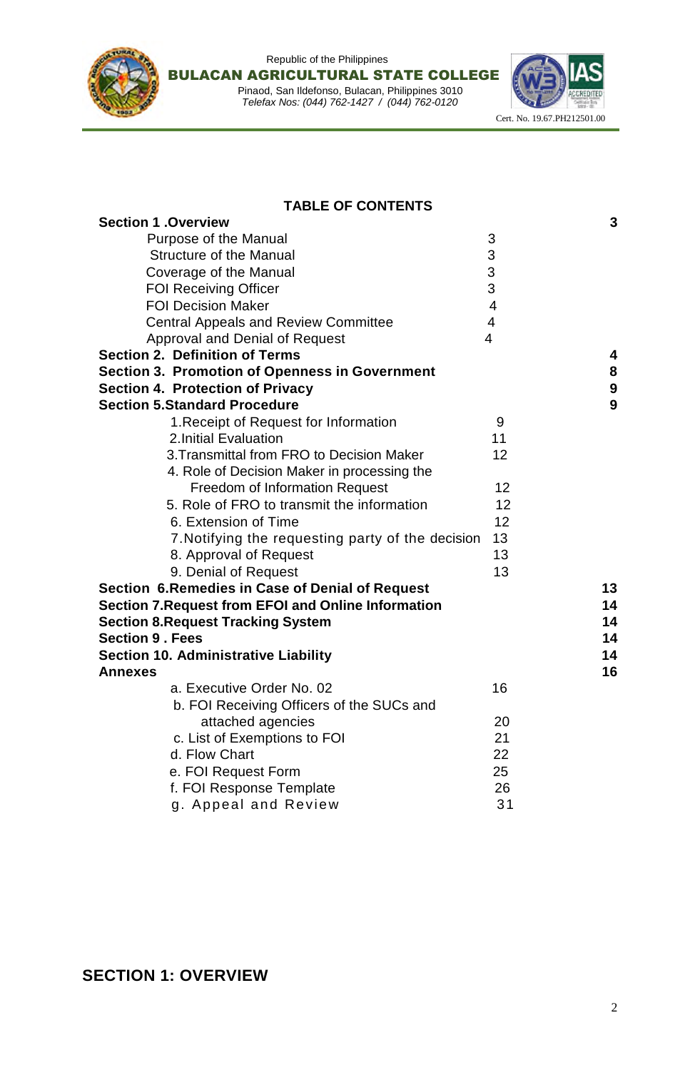



**TABLE OF CONTENTS**

| <b>Section 1 .Overview</b>                                 |                          | 3  |
|------------------------------------------------------------|--------------------------|----|
| Purpose of the Manual                                      | 3                        |    |
| <b>Structure of the Manual</b>                             | 3                        |    |
| Coverage of the Manual                                     | 3                        |    |
| <b>FOI Receiving Officer</b>                               | 3                        |    |
| <b>FOI Decision Maker</b>                                  | $\overline{4}$           |    |
| <b>Central Appeals and Review Committee</b>                | $\overline{4}$           |    |
| Approval and Denial of Request                             | $\overline{\mathcal{L}}$ |    |
| <b>Section 2. Definition of Terms</b>                      |                          | 4  |
| <b>Section 3. Promotion of Openness in Government</b>      |                          | 8  |
| <b>Section 4. Protection of Privacy</b>                    |                          | 9  |
| <b>Section 5.Standard Procedure</b>                        |                          | 9  |
| 1. Receipt of Request for Information                      | 9                        |    |
| 2. Initial Evaluation                                      | 11                       |    |
| 3. Transmittal from FRO to Decision Maker                  | 12                       |    |
| 4. Role of Decision Maker in processing the                |                          |    |
| <b>Freedom of Information Request</b>                      | 12                       |    |
| 5. Role of FRO to transmit the information                 | 12                       |    |
| 6. Extension of Time                                       | 12                       |    |
| 7. Notifying the requesting party of the decision          | 13                       |    |
| 8. Approval of Request                                     | 13                       |    |
| 9. Denial of Request                                       | 13                       |    |
| Section 6. Remedies in Case of Denial of Request           |                          | 13 |
| <b>Section 7. Request from EFOI and Online Information</b> |                          | 14 |
| <b>Section 8. Request Tracking System</b>                  |                          | 14 |
| <b>Section 9 . Fees</b>                                    |                          | 14 |
| <b>Section 10. Administrative Liability</b>                |                          | 14 |
| <b>Annexes</b>                                             |                          | 16 |
| a. Executive Order No. 02                                  | 16                       |    |
| b. FOI Receiving Officers of the SUCs and                  |                          |    |
| attached agencies                                          | 20                       |    |
| c. List of Exemptions to FOI                               | 21                       |    |
| d. Flow Chart                                              | 22                       |    |
| e. FOI Request Form                                        | 25                       |    |
| f. FOI Response Template                                   | 26                       |    |
| g. Appeal and Review                                       | 31                       |    |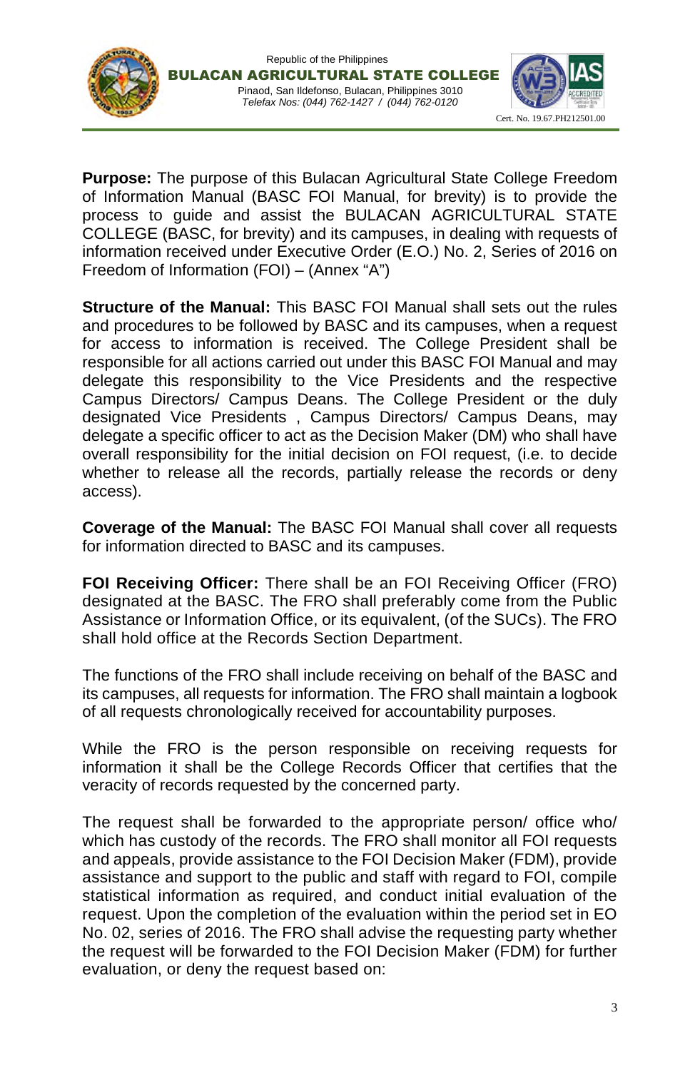



**Purpose:** The purpose of this Bulacan Agricultural State College Freedom of Information Manual (BASC FOI Manual, for brevity) is to provide the process to guide and assist the BULACAN AGRICULTURAL STATE COLLEGE (BASC, for brevity) and its campuses, in dealing with requests of information received under Executive Order (E.O.) No. 2, Series of 2016 on Freedom of Information (FOI) – (Annex "A")

**Structure of the Manual:** This BASC FOI Manual shall sets out the rules and procedures to be followed by BASC and its campuses, when a request for access to information is received. The College President shall be responsible for all actions carried out under this BASC FOI Manual and may delegate this responsibility to the Vice Presidents and the respective Campus Directors/ Campus Deans. The College President or the duly designated Vice Presidents , Campus Directors/ Campus Deans, may delegate a specific officer to act as the Decision Maker (DM) who shall have overall responsibility for the initial decision on FOI request, (i.e. to decide whether to release all the records, partially release the records or deny access).

**Coverage of the Manual:** The BASC FOI Manual shall cover all requests for information directed to BASC and its campuses.

**FOI Receiving Officer:** There shall be an FOI Receiving Officer (FRO) designated at the BASC. The FRO shall preferably come from the Public Assistance or Information Office, or its equivalent, (of the SUCs). The FRO shall hold office at the Records Section Department.

The functions of the FRO shall include receiving on behalf of the BASC and its campuses, all requests for information. The FRO shall maintain a logbook of all requests chronologically received for accountability purposes.

While the FRO is the person responsible on receiving requests for information it shall be the College Records Officer that certifies that the veracity of records requested by the concerned party.

The request shall be forwarded to the appropriate person/ office who/ which has custody of the records. The FRO shall monitor all FOI requests and appeals, provide assistance to the FOI Decision Maker (FDM), provide assistance and support to the public and staff with regard to FOI, compile statistical information as required, and conduct initial evaluation of the request. Upon the completion of the evaluation within the period set in EO No. 02, series of 2016. The FRO shall advise the requesting party whether the request will be forwarded to the FOI Decision Maker (FDM) for further evaluation, or deny the request based on: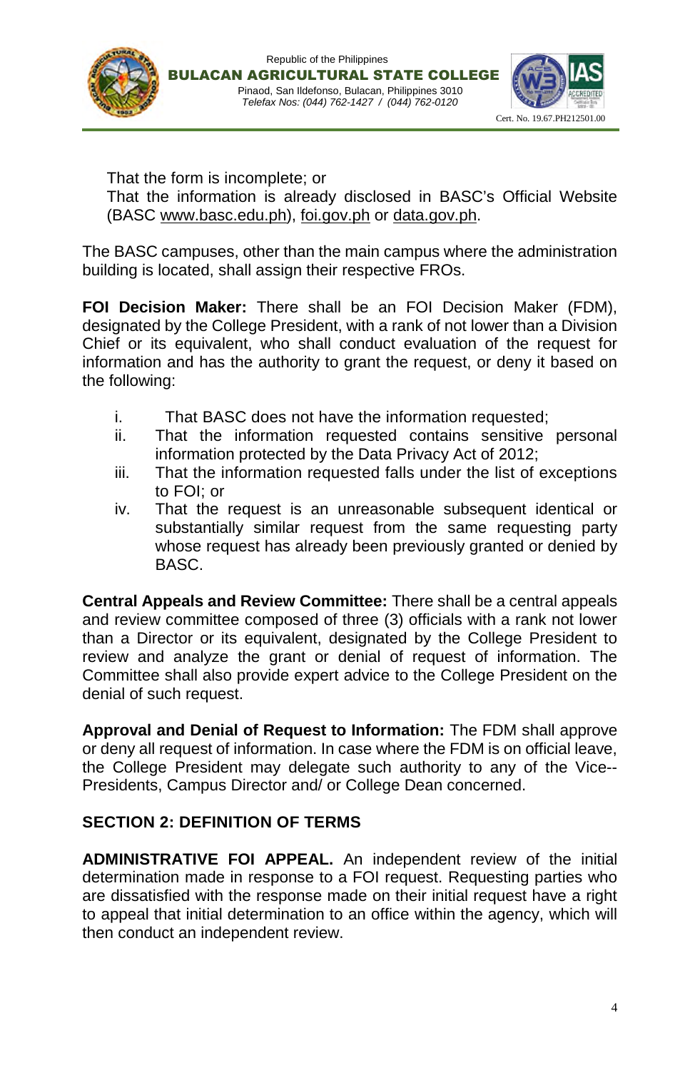





That the form is incomplete; or That the information is already disclosed in BASC's Official Website (BASC www.basc.edu.ph), foi.gov.ph or data.gov.ph.

The BASC campuses, other than the main campus where the administration building is located, shall assign their respective FROs.

**FOI Decision Maker:** There shall be an FOI Decision Maker (FDM), designated by the College President, with a rank of not lower than a Division Chief or its equivalent, who shall conduct evaluation of the request for information and has the authority to grant the request, or deny it based on the following:

- i. That BASC does not have the information requested;
- ii. That the information requested contains sensitive personal information protected by the Data Privacy Act of 2012;
- iii. That the information requested falls under the list of exceptions to FOI; or
- iv. That the request is an unreasonable subsequent identical or substantially similar request from the same requesting party whose request has already been previously granted or denied by BASC.

**Central Appeals and Review Committee:** There shall be a central appeals and review committee composed of three (3) officials with a rank not lower than a Director or its equivalent, designated by the College President to review and analyze the grant or denial of request of information. The Committee shall also provide expert advice to the College President on the denial of such request.

**Approval and Denial of Request to Information:** The FDM shall approve or deny all request of information. In case where the FDM is on official leave, the College President may delegate such authority to any of the Vice-- Presidents, Campus Director and/ or College Dean concerned.

## **SECTION 2: DEFINITION OF TERMS**

**ADMINISTRATIVE FOI APPEAL.** An independent review of the initial determination made in response to a FOI request. Requesting parties who are dissatisfied with the response made on their initial request have a right to appeal that initial determination to an office within the agency, which will then conduct an independent review.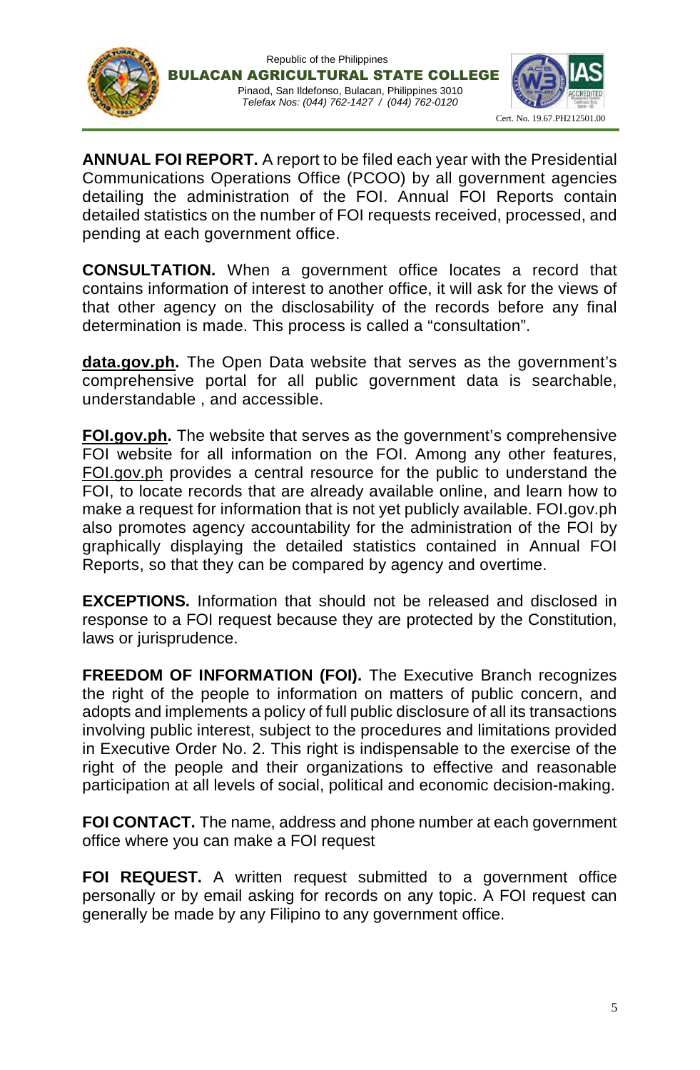



**ANNUAL FOI REPORT.** A report to be filed each year with the Presidential Communications Operations Office (PCOO) by all government agencies detailing the administration of the FOI. Annual FOI Reports contain detailed statistics on the number of FOI requests received, processed, and pending at each government office.

**CONSULTATION.** When a government office locates a record that contains information of interest to another office, it will ask for the views of that other agency on the disclosability of the records before any final determination is made. This process is called a "consultation".

**data.gov.ph.** The Open Data website that serves as the government's comprehensive portal for all public government data is searchable, understandable , and accessible.

**FOI.gov.ph.** The website that serves as the government's comprehensive FOI website for all information on the FOI. Among any other features, FOI.gov.ph provides a central resource for the public to understand the FOI, to locate records that are already available online, and learn how to make a request for information that is not yet publicly available. FOI.gov.ph also promotes agency accountability for the administration of the FOI by graphically displaying the detailed statistics contained in Annual FOI Reports, so that they can be compared by agency and overtime.

**EXCEPTIONS.** Information that should not be released and disclosed in response to a FOI request because they are protected by the Constitution, laws or jurisprudence.

**FREEDOM OF INFORMATION (FOI).** The Executive Branch recognizes the right of the people to information on matters of public concern, and adopts and implements a policy of full public disclosure of all its transactions involving public interest, subject to the procedures and limitations provided in Executive Order No. 2. This right is indispensable to the exercise of the right of the people and their organizations to effective and reasonable participation at all levels of social, political and economic decision-making.

**FOI CONTACT.** The name, address and phone number at each government office where you can make a FOI request

**FOI REQUEST.** A written request submitted to a government office personally or by email asking for records on any topic. A FOI request can generally be made by any Filipino to any government office.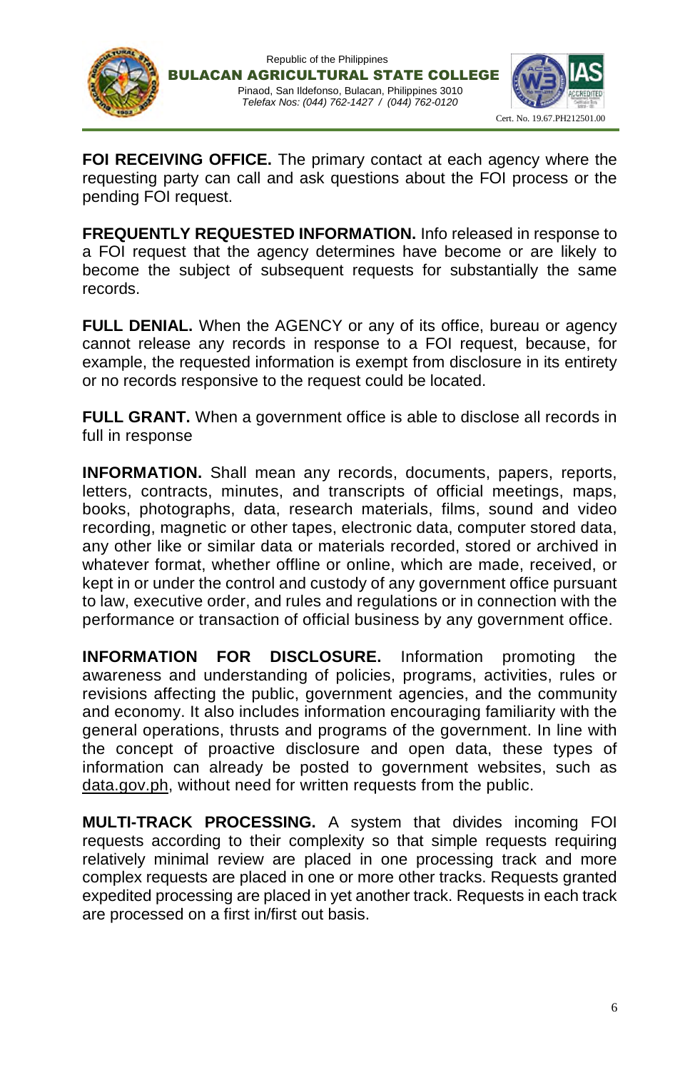





**FOI RECEIVING OFFICE.** The primary contact at each agency where the requesting party can call and ask questions about the FOI process or the pending FOI request.

**FREQUENTLY REQUESTED INFORMATION.** Info released in response to a FOI request that the agency determines have become or are likely to become the subject of subsequent requests for substantially the same records.

**FULL DENIAL.** When the AGENCY or any of its office, bureau or agency cannot release any records in response to a FOI request, because, for example, the requested information is exempt from disclosure in its entirety or no records responsive to the request could be located.

**FULL GRANT.** When a government office is able to disclose all records in full in response

**INFORMATION.** Shall mean any records, documents, papers, reports, letters, contracts, minutes, and transcripts of official meetings, maps, books, photographs, data, research materials, films, sound and video recording, magnetic or other tapes, electronic data, computer stored data, any other like or similar data or materials recorded, stored or archived in whatever format, whether offline or online, which are made, received, or kept in or under the control and custody of any government office pursuant to law, executive order, and rules and regulations or in connection with the performance or transaction of official business by any government office.

**INFORMATION FOR DISCLOSURE.** Information promoting the awareness and understanding of policies, programs, activities, rules or revisions affecting the public, government agencies, and the community and economy. It also includes information encouraging familiarity with the general operations, thrusts and programs of the government. In line with the concept of proactive disclosure and open data, these types of information can already be posted to government websites, such as data.gov.ph, without need for written requests from the public.

**MULTI-TRACK PROCESSING.** A system that divides incoming FOI requests according to their complexity so that simple requests requiring relatively minimal review are placed in one processing track and more complex requests are placed in one or more other tracks. Requests granted expedited processing are placed in yet another track. Requests in each track are processed on a first in/first out basis.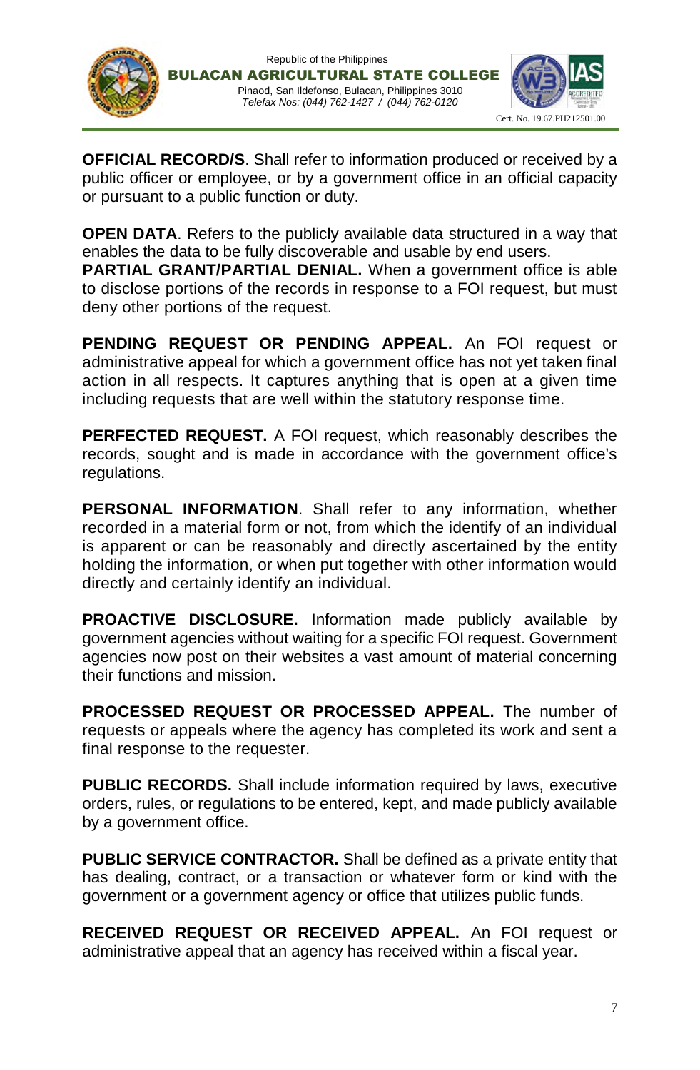





**OFFICIAL RECORD/S**. Shall refer to information produced or received by a public officer or employee, or by a government office in an official capacity or pursuant to a public function or duty.

**OPEN DATA.** Refers to the publicly available data structured in a way that enables the data to be fully discoverable and usable by end users.

**PARTIAL GRANT/PARTIAL DENIAL.** When a government office is able to disclose portions of the records in response to a FOI request, but must deny other portions of the request.

**PENDING REQUEST OR PENDING APPEAL.** An FOI request or administrative appeal for which a government office has not yet taken final action in all respects. It captures anything that is open at a given time including requests that are well within the statutory response time.

**PERFECTED REQUEST.** A FOI request, which reasonably describes the records, sought and is made in accordance with the government office's regulations.

**PERSONAL INFORMATION**. Shall refer to any information, whether recorded in a material form or not, from which the identify of an individual is apparent or can be reasonably and directly ascertained by the entity holding the information, or when put together with other information would directly and certainly identify an individual.

**PROACTIVE DISCLOSURE.** Information made publicly available by government agencies without waiting for a specific FOI request. Government agencies now post on their websites a vast amount of material concerning their functions and mission.

**PROCESSED REQUEST OR PROCESSED APPEAL.** The number of requests or appeals where the agency has completed its work and sent a final response to the requester.

**PUBLIC RECORDS.** Shall include information required by laws, executive orders, rules, or regulations to be entered, kept, and made publicly available by a government office.

**PUBLIC SERVICE CONTRACTOR.** Shall be defined as a private entity that has dealing, contract, or a transaction or whatever form or kind with the government or a government agency or office that utilizes public funds.

**RECEIVED REQUEST OR RECEIVED APPEAL.** An FOI request or administrative appeal that an agency has received within a fiscal year.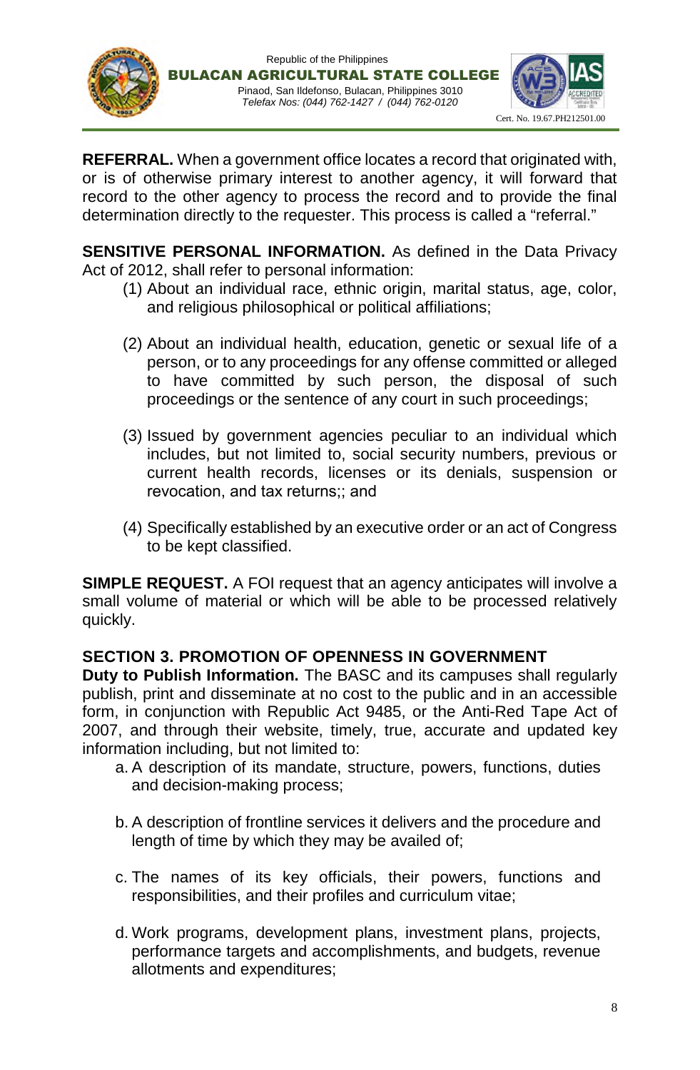



**REFERRAL.** When a government office locates a record that originated with, or is of otherwise primary interest to another agency, it will forward that record to the other agency to process the record and to provide the final determination directly to the requester. This process is called a "referral."

**SENSITIVE PERSONAL INFORMATION.** As defined in the Data Privacy Act of 2012, shall refer to personal information:

- (1) About an individual race, ethnic origin, marital status, age, color, and religious philosophical or political affiliations;
- (2) About an individual health, education, genetic or sexual life of a person, or to any proceedings for any offense committed or alleged to have committed by such person, the disposal of such proceedings or the sentence of any court in such proceedings;
- (3) Issued by government agencies peculiar to an individual which includes, but not limited to, social security numbers, previous or current health records, licenses or its denials, suspension or revocation, and tax returns;; and
- (4) Specifically established by an executive order or an act of Congress to be kept classified.

**SIMPLE REQUEST.** A FOI request that an agency anticipates will involve a small volume of material or which will be able to be processed relatively quickly.

## **SECTION 3. PROMOTION OF OPENNESS IN GOVERNMENT**

**Duty to Publish Information.** The BASC and its campuses shall regularly publish, print and disseminate at no cost to the public and in an accessible form, in conjunction with Republic Act 9485, or the Anti-Red Tape Act of 2007, and through their website, timely, true, accurate and updated key information including, but not limited to:

- a. A description of its mandate, structure, powers, functions, duties and decision-making process;
- b. A description of frontline services it delivers and the procedure and length of time by which they may be availed of;
- c. The names of its key officials, their powers, functions and responsibilities, and their profiles and curriculum vitae;
- d. Work programs, development plans, investment plans, projects, performance targets and accomplishments, and budgets, revenue allotments and expenditures;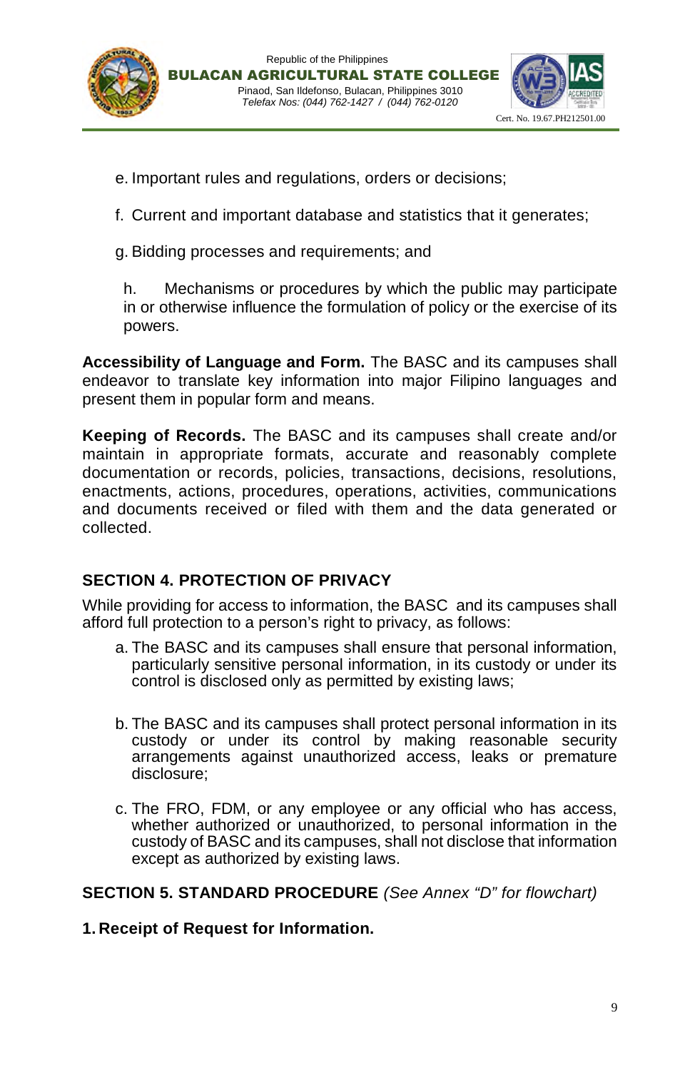



e. Important rules and regulations, orders or decisions;

f. Current and important database and statistics that it generates;

g. Bidding processes and requirements; and

h. Mechanisms or procedures by which the public may participate in or otherwise influence the formulation of policy or the exercise of its powers.

**Accessibility of Language and Form.** The BASC and its campuses shall endeavor to translate key information into major Filipino languages and present them in popular form and means.

**Keeping of Records.** The BASC and its campuses shall create and/or maintain in appropriate formats, accurate and reasonably complete documentation or records, policies, transactions, decisions, resolutions, enactments, actions, procedures, operations, activities, communications and documents received or filed with them and the data generated or collected.

## **SECTION 4. PROTECTION OF PRIVACY**

While providing for access to information, the BASC and its campuses shall afford full protection to a person's right to privacy, as follows:

- a. The BASC and its campuses shall ensure that personal information, particularly sensitive personal information, in its custody or under its control is disclosed only as permitted by existing laws;
- b. The BASC and its campuses shall protect personal information in its custody or under its control by making reasonable security arrangements against unauthorized access, leaks or premature disclosure;
- c. The FRO, FDM, or any employee or any official who has access, whether authorized or unauthorized, to personal information in the custody of BASC and its campuses, shall not disclose that information except as authorized by existing laws.

**SECTION 5. STANDARD PROCEDURE** *(See Annex "D" for flowchart)*

**1. Receipt of Request for Information.**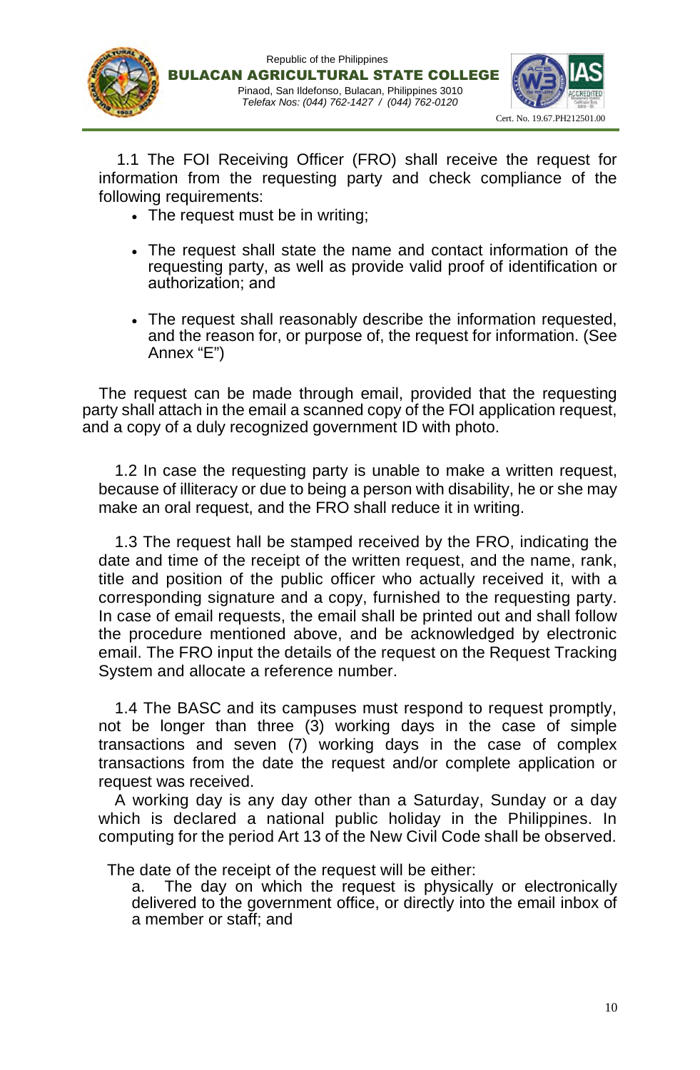





1.1 The FOI Receiving Officer (FRO) shall receive the request for information from the requesting party and check compliance of the following requirements:

- The request must be in writing;
- The request shall state the name and contact information of the requesting party, as well as provide valid proof of identification or authorization; and
- The request shall reasonably describe the information requested, and the reason for, or purpose of, the request for information. (See Annex "E")

The request can be made through email, provided that the requesting party shall attach in the email a scanned copy of the FOI application request, and a copy of a duly recognized government ID with photo.

1.2 In case the requesting party is unable to make a written request, because of illiteracy or due to being a person with disability, he or she may make an oral request, and the FRO shall reduce it in writing.

1.3 The request hall be stamped received by the FRO, indicating the date and time of the receipt of the written request, and the name, rank, title and position of the public officer who actually received it, with a corresponding signature and a copy, furnished to the requesting party. In case of email requests, the email shall be printed out and shall follow the procedure mentioned above, and be acknowledged by electronic email. The FRO input the details of the request on the Request Tracking System and allocate a reference number.

1.4 The BASC and its campuses must respond to request promptly, not be longer than three (3) working days in the case of simple transactions and seven (7) working days in the case of complex transactions from the date the request and/or complete application or request was received.

A working day is any day other than a Saturday, Sunday or a day which is declared a national public holiday in the Philippines. In computing for the period Art 13 of the New Civil Code shall be observed.

The date of the receipt of the request will be either:

a. The day on which the request is physically or electronically delivered to the government office, or directly into the email inbox of a member or staff; and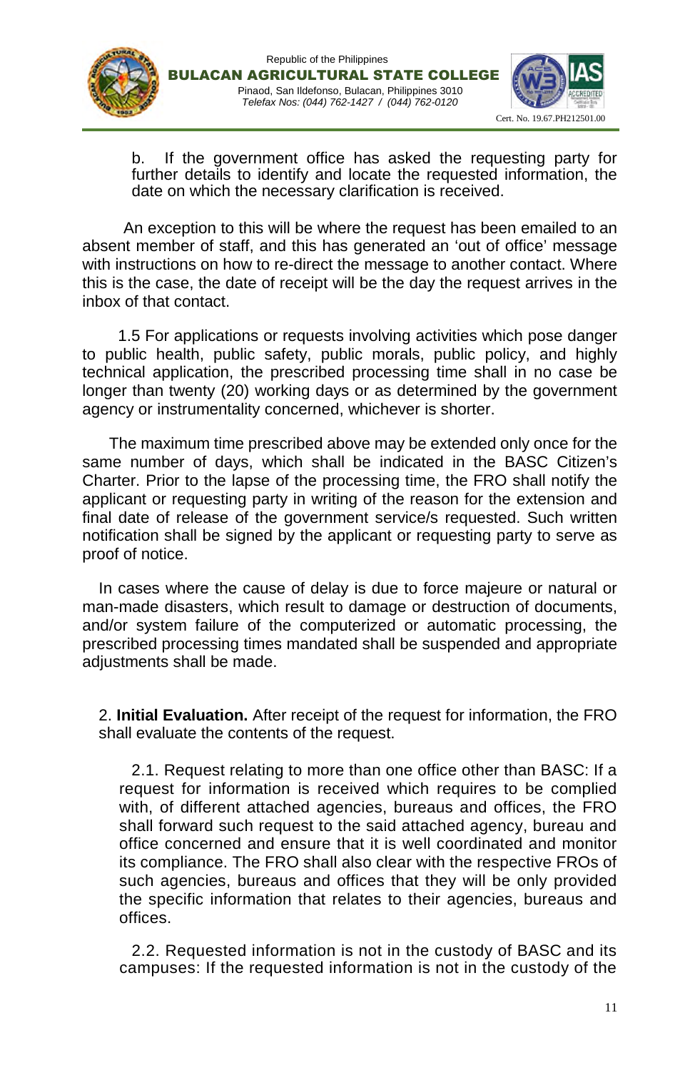





b. If the government office has asked the requesting party for further details to identify and locate the requested information, the date on which the necessary clarification is received.

An exception to this will be where the request has been emailed to an absent member of staff, and this has generated an 'out of office' message with instructions on how to re-direct the message to another contact. Where this is the case, the date of receipt will be the day the request arrives in the inbox of that contact.

1.5 For applications or requests involving activities which pose danger to public health, public safety, public morals, public policy, and highly technical application, the prescribed processing time shall in no case be longer than twenty (20) working days or as determined by the government agency or instrumentality concerned, whichever is shorter.

The maximum time prescribed above may be extended only once for the same number of days, which shall be indicated in the BASC Citizen's Charter. Prior to the lapse of the processing time, the FRO shall notify the applicant or requesting party in writing of the reason for the extension and final date of release of the government service/s requested. Such written notification shall be signed by the applicant or requesting party to serve as proof of notice.

In cases where the cause of delay is due to force majeure or natural or man-made disasters, which result to damage or destruction of documents, and/or system failure of the computerized or automatic processing, the prescribed processing times mandated shall be suspended and appropriate adjustments shall be made.

2. **Initial Evaluation.** After receipt of the request for information, the FRO shall evaluate the contents of the request.

2.1. Request relating to more than one office other than BASC: If a request for information is received which requires to be complied with, of different attached agencies, bureaus and offices, the FRO shall forward such request to the said attached agency, bureau and office concerned and ensure that it is well coordinated and monitor its compliance. The FRO shall also clear with the respective FROs of such agencies, bureaus and offices that they will be only provided the specific information that relates to their agencies, bureaus and offices.

2.2. Requested information is not in the custody of BASC and its campuses: If the requested information is not in the custody of the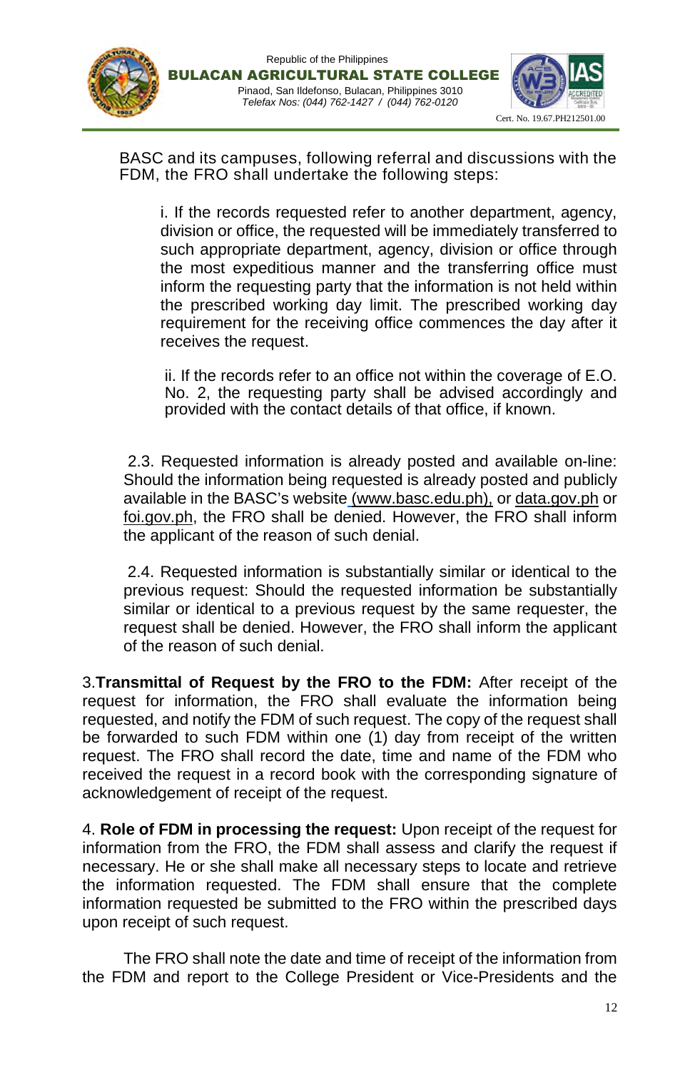





BASC and its campuses, following referral and discussions with the FDM, the FRO shall undertake the following steps:

i. If the records requested refer to another department, agency, division or office, the requested will be immediately transferred to such appropriate department, agency, division or office through the most expeditious manner and the transferring office must inform the requesting party that the information is not held within the prescribed working day limit. The prescribed working day requirement for the receiving office commences the day after it receives the request.

ii. If the records refer to an office not within the coverage of E.O. No. 2, the requesting party shall be advised accordingly and provided with the contact details of that office, if known.

2.3. Requested information is already posted and available on-line: Should the information being requested is already posted and publicly available in the BASC's website (www.basc.edu.ph), or data.gov.ph or foi.gov.ph, the FRO shall be denied. However, the FRO shall inform the applicant of the reason of such denial.

2.4. Requested information is substantially similar or identical to the previous request: Should the requested information be substantially similar or identical to a previous request by the same requester, the request shall be denied. However, the FRO shall inform the applicant of the reason of such denial.

3.**Transmittal of Request by the FRO to the FDM:** After receipt of the request for information, the FRO shall evaluate the information being requested, and notify the FDM of such request. The copy of the request shall be forwarded to such FDM within one (1) day from receipt of the written request. The FRO shall record the date, time and name of the FDM who received the request in a record book with the corresponding signature of acknowledgement of receipt of the request.

4. **Role of FDM in processing the request:** Upon receipt of the request for information from the FRO, the FDM shall assess and clarify the request if necessary. He or she shall make all necessary steps to locate and retrieve the information requested. The FDM shall ensure that the complete information requested be submitted to the FRO within the prescribed days upon receipt of such request.

The FRO shall note the date and time of receipt of the information from the FDM and report to the College President or Vice-Presidents and the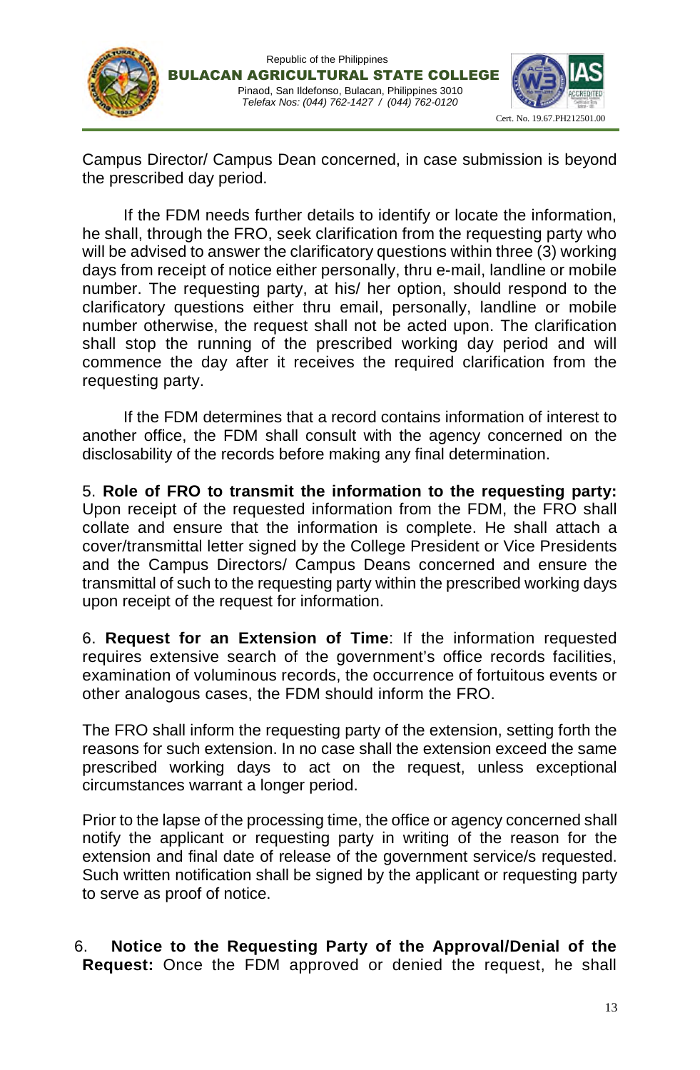



Campus Director/ Campus Dean concerned, in case submission is beyond the prescribed day period.

Pinaod, San Ildefonso, Bulacan, Philippines 3010 *Telefax Nos: (044) 762-1427 / (044) 762-0120*

Republic of the Philippines

If the FDM needs further details to identify or locate the information, he shall, through the FRO, seek clarification from the requesting party who will be advised to answer the clarificatory questions within three (3) working days from receipt of notice either personally, thru e-mail, landline or mobile number. The requesting party, at his/ her option, should respond to the clarificatory questions either thru email, personally, landline or mobile number otherwise, the request shall not be acted upon. The clarification shall stop the running of the prescribed working day period and will commence the day after it receives the required clarification from the requesting party.

If the FDM determines that a record contains information of interest to another office, the FDM shall consult with the agency concerned on the disclosability of the records before making any final determination.

5. **Role of FRO to transmit the information to the requesting party:** Upon receipt of the requested information from the FDM, the FRO shall collate and ensure that the information is complete. He shall attach a cover/transmittal letter signed by the College President or Vice Presidents and the Campus Directors/ Campus Deans concerned and ensure the transmittal of such to the requesting party within the prescribed working days upon receipt of the request for information.

6. **Request for an Extension of Time**: If the information requested requires extensive search of the government's office records facilities, examination of voluminous records, the occurrence of fortuitous events or other analogous cases, the FDM should inform the FRO.

The FRO shall inform the requesting party of the extension, setting forth the reasons for such extension. In no case shall the extension exceed the same prescribed working days to act on the request, unless exceptional circumstances warrant a longer period.

Prior to the lapse of the processing time, the office or agency concerned shall notify the applicant or requesting party in writing of the reason for the extension and final date of release of the government service/s requested. Such written notification shall be signed by the applicant or requesting party to serve as proof of notice.

## 6. **Notice to the Requesting Party of the Approval/Denial of the Request:** Once the FDM approved or denied the request, he shall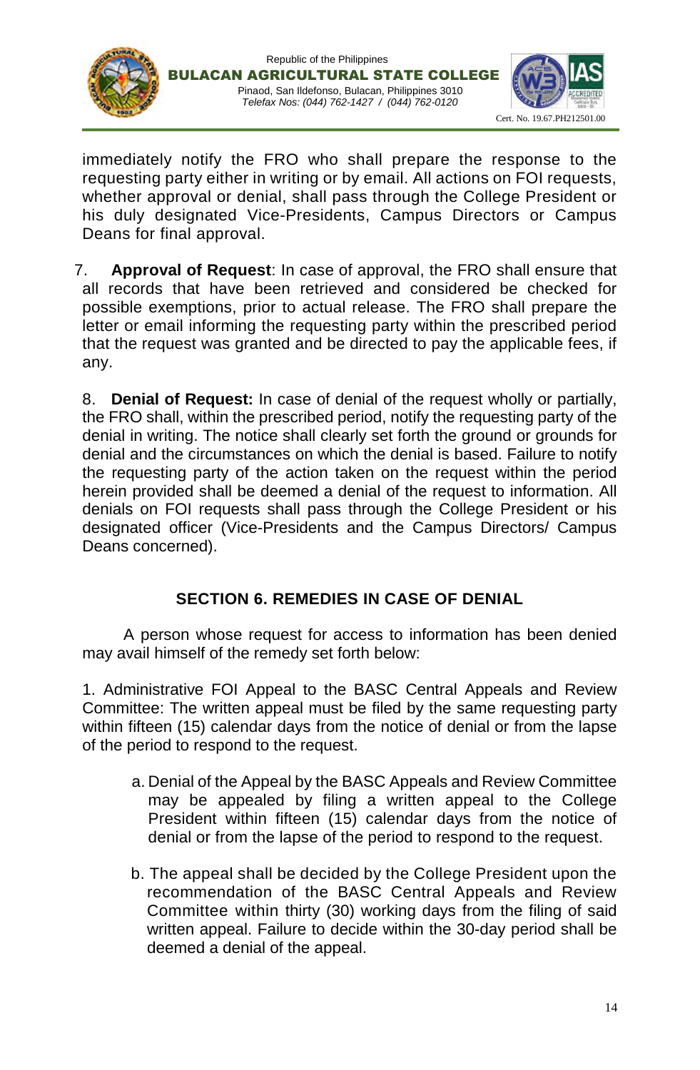



immediately notify the FRO who shall prepare the response to the requesting party either in writing or by email. All actions on FOI requests, whether approval or denial, shall pass through the College President or his duly designated Vice-Presidents, Campus Directors or Campus Deans for final approval.

7. **Approval of Request**: In case of approval, the FRO shall ensure that all records that have been retrieved and considered be checked for possible exemptions, prior to actual release. The FRO shall prepare the letter or email informing the requesting party within the prescribed period that the request was granted and be directed to pay the applicable fees, if any.

8. **Denial of Request:** In case of denial of the request wholly or partially, the FRO shall, within the prescribed period, notify the requesting party of the denial in writing. The notice shall clearly set forth the ground or grounds for denial and the circumstances on which the denial is based. Failure to notify the requesting party of the action taken on the request within the period herein provided shall be deemed a denial of the request to information. All denials on FOI requests shall pass through the College President or his designated officer (Vice-Presidents and the Campus Directors/ Campus Deans concerned).

## **SECTION 6. REMEDIES IN CASE OF DENIAL**

A person whose request for access to information has been denied may avail himself of the remedy set forth below:

1. Administrative FOI Appeal to the BASC Central Appeals and Review Committee: The written appeal must be filed by the same requesting party within fifteen (15) calendar days from the notice of denial or from the lapse of the period to respond to the request.

- a. Denial of the Appeal by the BASC Appeals and Review Committee may be appealed by filing a written appeal to the College President within fifteen (15) calendar days from the notice of denial or from the lapse of the period to respond to the request.
- b. The appeal shall be decided by the College President upon the recommendation of the BASC Central Appeals and Review Committee within thirty (30) working days from the filing of said written appeal. Failure to decide within the 30-day period shall be deemed a denial of the appeal.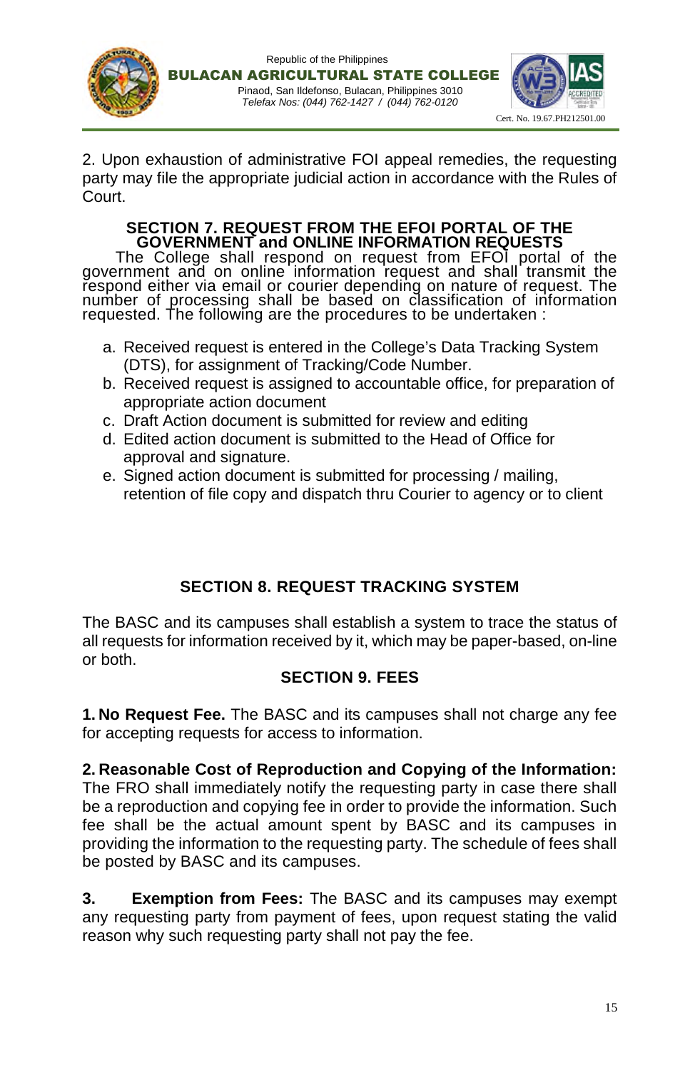





2. Upon exhaustion of administrative FOI appeal remedies, the requesting party may file the appropriate judicial action in accordance with the Rules of Court.

## **SECTION 7. REQUEST FROM THE EFOI PORTAL OF THE GOVERNMENT and ONLINE INFORMATION REQUESTS**

The College shall respond on request from EFOI portal of the government and on online information request and shall transmit the respond either via email or courier depending on nature of request. The number of processing shall be based on classification of information requested. The following are the procedures to be undertaken :

- a. Received request is entered in the College's Data Tracking System (DTS), for assignment of Tracking/Code Number.
- b. Received request is assigned to accountable office, for preparation of appropriate action document
- c. Draft Action document is submitted for review and editing
- d. Edited action document is submitted to the Head of Office for approval and signature.
- e. Signed action document is submitted for processing / mailing, retention of file copy and dispatch thru Courier to agency or to client

# **SECTION 8. REQUEST TRACKING SYSTEM**

The BASC and its campuses shall establish a system to trace the status of all requests for information received by it, which may be paper-based, on-line or both.

# **SECTION 9. FEES**

**1. No Request Fee.** The BASC and its campuses shall not charge any fee for accepting requests for access to information.

## **2. Reasonable Cost of Reproduction and Copying of the Information:**

The FRO shall immediately notify the requesting party in case there shall be a reproduction and copying fee in order to provide the information. Such fee shall be the actual amount spent by BASC and its campuses in providing the information to the requesting party. The schedule of fees shall be posted by BASC and its campuses.

**3. Exemption from Fees:** The BASC and its campuses may exempt any requesting party from payment of fees, upon request stating the valid reason why such requesting party shall not pay the fee.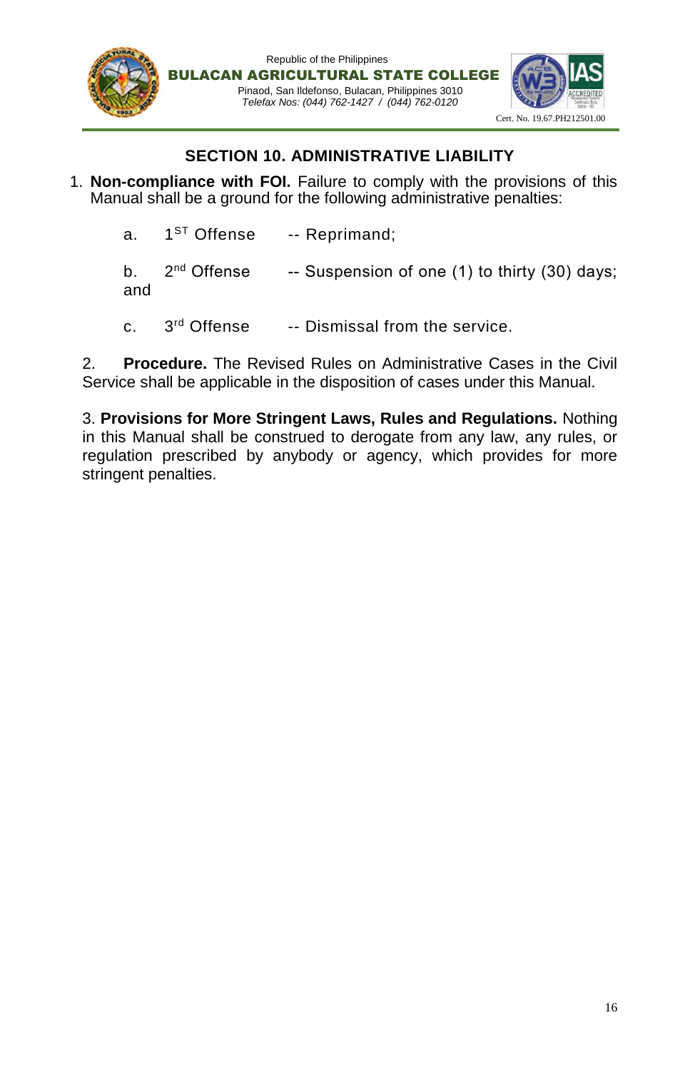

## **SECTION 10. ADMINISTRATIVE LIABILITY**

- 1. **Non-compliance with FOI.** Failure to comply with the provisions of this Manual shall be a ground for the following administrative penalties:
	- a. 1<sup>ST</sup> Offense -- Reprimand; b.  $2^{nd}$  Offense -- Suspension of one (1) to thirty (30) days; and
	- c. 3rd Offense -- Dismissal from the service.

2. **Procedure.** The Revised Rules on Administrative Cases in the Civil Service shall be applicable in the disposition of cases under this Manual.

3. **Provisions for More Stringent Laws, Rules and Regulations.** Nothing in this Manual shall be construed to derogate from any law, any rules, or regulation prescribed by anybody or agency, which provides for more stringent penalties.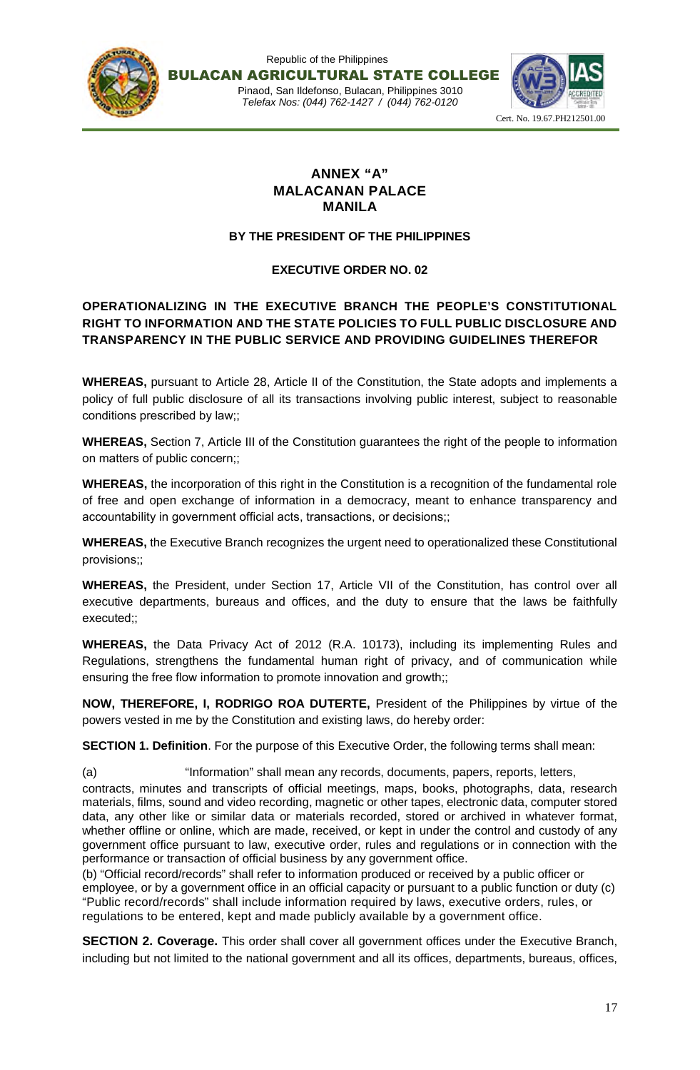



## **ANNEX "A" MALACANAN PALACE MANILA**

#### **BY THE PRESIDENT OF THE PHILIPPINES**

## **EXECUTIVE ORDER NO. 02**

## **OPERATIONALIZING IN THE EXECUTIVE BRANCH THE PEOPLE'S CONSTITUTIONAL RIGHT TO INFORMATION AND THE STATE POLICIES TO FULL PUBLIC DISCLOSURE AND TRANSPARENCY IN THE PUBLIC SERVICE AND PROVIDING GUIDELINES THEREFOR**

**WHEREAS,** pursuant to Article 28, Article II of the Constitution, the State adopts and implements a policy of full public disclosure of all its transactions involving public interest, subject to reasonable conditions prescribed by law;;

**WHEREAS,** Section 7, Article III of the Constitution guarantees the right of the people to information on matters of public concern;;

**WHEREAS,** the incorporation of this right in the Constitution is a recognition of the fundamental role of free and open exchange of information in a democracy, meant to enhance transparency and accountability in government official acts, transactions, or decisions;;

**WHEREAS,** the Executive Branch recognizes the urgent need to operationalized these Constitutional provisions;;

**WHEREAS,** the President, under Section 17, Article VII of the Constitution, has control over all executive departments, bureaus and offices, and the duty to ensure that the laws be faithfully executed;;

**WHEREAS,** the Data Privacy Act of 2012 (R.A. 10173), including its implementing Rules and Regulations, strengthens the fundamental human right of privacy, and of communication while ensuring the free flow information to promote innovation and growth;;

**NOW, THEREFORE, I, RODRIGO ROA DUTERTE,** President of the Philippines by virtue of the powers vested in me by the Constitution and existing laws, do hereby order:

**SECTION 1. Definition**. For the purpose of this Executive Order, the following terms shall mean:

(a) "Information" shall mean any records, documents, papers, reports, letters, contracts, minutes and transcripts of official meetings, maps, books, photographs, data, research materials, films, sound and video recording, magnetic or other tapes, electronic data, computer stored data, any other like or similar data or materials recorded, stored or archived in whatever format, whether offline or online, which are made, received, or kept in under the control and custody of any government office pursuant to law, executive order, rules and regulations or in connection with the performance or transaction of official business by any government office.

(b) "Official record/records" shall refer to information produced or received by a public officer or employee, or by a government office in an official capacity or pursuant to a public function or duty (c) "Public record/records" shall include information required by laws, executive orders, rules, or regulations to be entered, kept and made publicly available by a government office.

**SECTION 2. Coverage.** This order shall cover all government offices under the Executive Branch, including but not limited to the national government and all its offices, departments, bureaus, offices,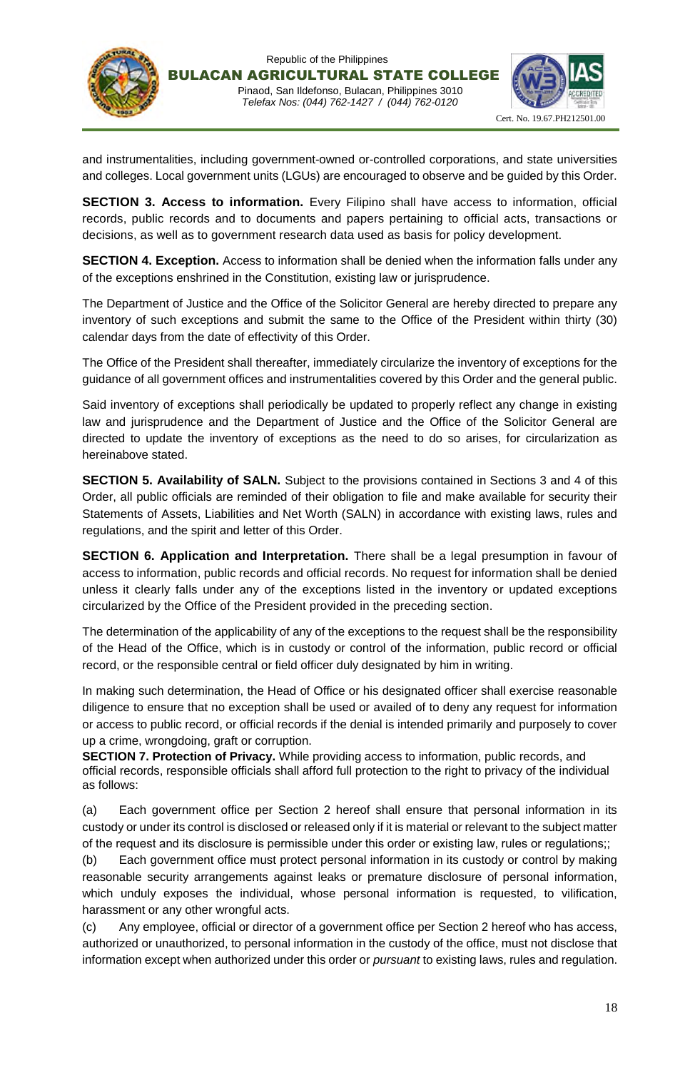



and instrumentalities, including government-owned or-controlled corporations, and state universities and colleges. Local government units (LGUs) are encouraged to observe and be guided by this Order.

**SECTION 3. Access to information.** Every Filipino shall have access to information, official records, public records and to documents and papers pertaining to official acts, transactions or decisions, as well as to government research data used as basis for policy development.

**SECTION 4. Exception.** Access to information shall be denied when the information falls under any of the exceptions enshrined in the Constitution, existing law or jurisprudence.

The Department of Justice and the Office of the Solicitor General are hereby directed to prepare any inventory of such exceptions and submit the same to the Office of the President within thirty (30) calendar days from the date of effectivity of this Order.

The Office of the President shall thereafter, immediately circularize the inventory of exceptions for the guidance of all government offices and instrumentalities covered by this Order and the general public.

Said inventory of exceptions shall periodically be updated to properly reflect any change in existing law and jurisprudence and the Department of Justice and the Office of the Solicitor General are directed to update the inventory of exceptions as the need to do so arises, for circularization as hereinabove stated.

**SECTION 5. Availability of SALN.** Subject to the provisions contained in Sections 3 and 4 of this Order, all public officials are reminded of their obligation to file and make available for security their Statements of Assets, Liabilities and Net Worth (SALN) in accordance with existing laws, rules and regulations, and the spirit and letter of this Order.

**SECTION 6. Application and Interpretation.** There shall be a legal presumption in favour of access to information, public records and official records. No request for information shall be denied unless it clearly falls under any of the exceptions listed in the inventory or updated exceptions circularized by the Office of the President provided in the preceding section.

The determination of the applicability of any of the exceptions to the request shall be the responsibility of the Head of the Office, which is in custody or control of the information, public record or official record, or the responsible central or field officer duly designated by him in writing.

In making such determination, the Head of Office or his designated officer shall exercise reasonable diligence to ensure that no exception shall be used or availed of to deny any request for information or access to public record, or official records if the denial is intended primarily and purposely to cover up a crime, wrongdoing, graft or corruption.

**SECTION 7. Protection of Privacy.** While providing access to information, public records, and official records, responsible officials shall afford full protection to the right to privacy of the individual as follows:

(a) Each government office per Section 2 hereof shall ensure that personal information in its custody or under its control is disclosed or released only if it is material or relevant to the subject matter of the request and its disclosure is permissible under this order or existing law, rules or regulations;;

(b) Each government office must protect personal information in its custody or control by making reasonable security arrangements against leaks or premature disclosure of personal information, which unduly exposes the individual, whose personal information is requested, to vilification, harassment or any other wrongful acts.

(c) Any employee, official or director of a government office per Section 2 hereof who has access, authorized or unauthorized, to personal information in the custody of the office, must not disclose that information except when authorized under this order or *pursuant* to existing laws, rules and regulation.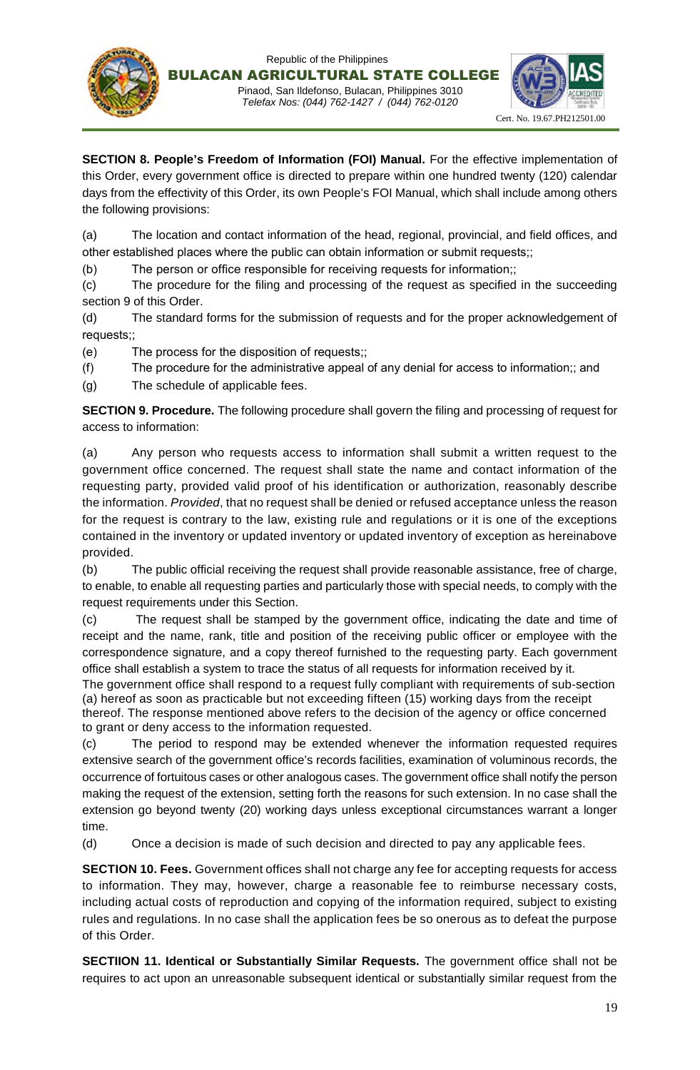



**SECTION 8. People's Freedom of Information (FOI) Manual.** For the effective implementation of this Order, every government office is directed to prepare within one hundred twenty (120) calendar days from the effectivity of this Order, its own People's FOI Manual, which shall include among others the following provisions:

(a) The location and contact information of the head, regional, provincial, and field offices, and other established places where the public can obtain information or submit requests;;

(b) The person or office responsible for receiving requests for information;;

(c) The procedure for the filing and processing of the request as specified in the succeeding section 9 of this Order.

(d) The standard forms for the submission of requests and for the proper acknowledgement of requests;;

(e) The process for the disposition of requests;;

(f) The procedure for the administrative appeal of any denial for access to information;; and

(g) The schedule of applicable fees.

**SECTION 9. Procedure.** The following procedure shall govern the filing and processing of request for access to information:

(a) Any person who requests access to information shall submit a written request to the government office concerned. The request shall state the name and contact information of the requesting party, provided valid proof of his identification or authorization, reasonably describe the information. *Provided*, that no request shall be denied or refused acceptance unless the reason for the request is contrary to the law, existing rule and regulations or it is one of the exceptions contained in the inventory or updated inventory or updated inventory of exception as hereinabove provided.

(b) The public official receiving the request shall provide reasonable assistance, free of charge, to enable, to enable all requesting parties and particularly those with special needs, to comply with the request requirements under this Section.

(c) The request shall be stamped by the government office, indicating the date and time of receipt and the name, rank, title and position of the receiving public officer or employee with the correspondence signature, and a copy thereof furnished to the requesting party. Each government office shall establish a system to trace the status of all requests for information received by it.

The government office shall respond to a request fully compliant with requirements of sub-section (a) hereof as soon as practicable but not exceeding fifteen (15) working days from the receipt thereof. The response mentioned above refers to the decision of the agency or office concerned to grant or deny access to the information requested.

(c) The period to respond may be extended whenever the information requested requires extensive search of the government office's records facilities, examination of voluminous records, the occurrence of fortuitous cases or other analogous cases. The government office shall notify the person making the request of the extension, setting forth the reasons for such extension. In no case shall the extension go beyond twenty (20) working days unless exceptional circumstances warrant a longer time.

(d) Once a decision is made of such decision and directed to pay any applicable fees.

**SECTION 10. Fees.** Government offices shall not charge any fee for accepting requests for access to information. They may, however, charge a reasonable fee to reimburse necessary costs, including actual costs of reproduction and copying of the information required, subject to existing rules and regulations. In no case shall the application fees be so onerous as to defeat the purpose of this Order.

**SECTIION 11. Identical or Substantially Similar Requests.** The government office shall not be requires to act upon an unreasonable subsequent identical or substantially similar request from the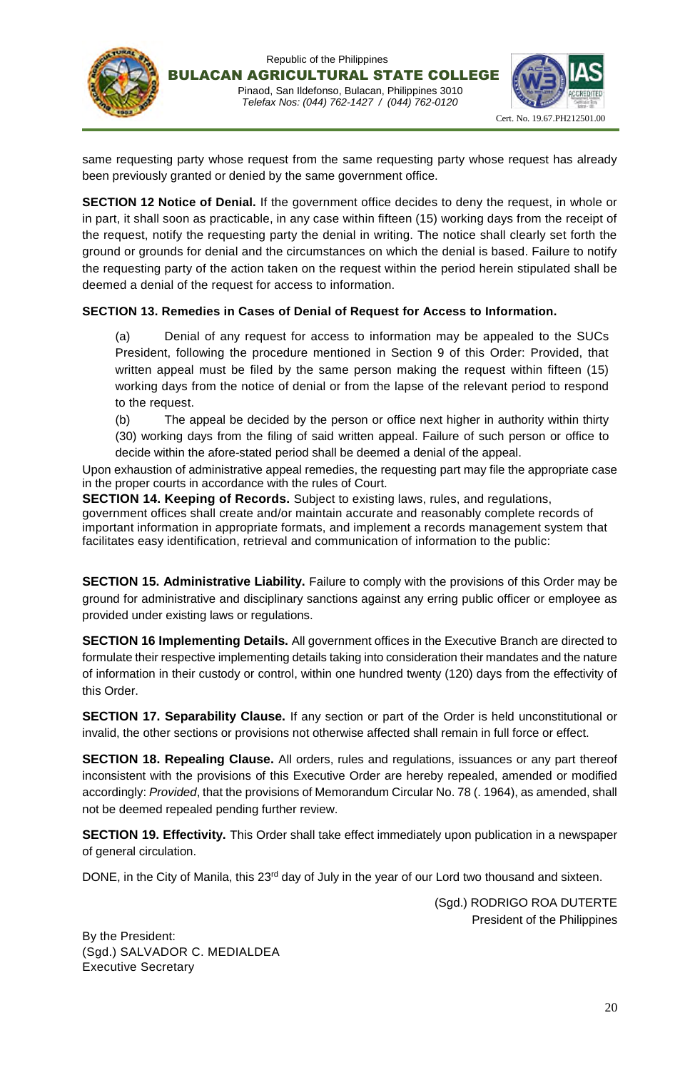





same requesting party whose request from the same requesting party whose request has already been previously granted or denied by the same government office.

**SECTION 12 Notice of Denial.** If the government office decides to deny the request, in whole or in part, it shall soon as practicable, in any case within fifteen (15) working days from the receipt of the request, notify the requesting party the denial in writing. The notice shall clearly set forth the ground or grounds for denial and the circumstances on which the denial is based. Failure to notify the requesting party of the action taken on the request within the period herein stipulated shall be deemed a denial of the request for access to information.

#### **SECTION 13. Remedies in Cases of Denial of Request for Access to Information.**

(a) Denial of any request for access to information may be appealed to the SUCs President, following the procedure mentioned in Section 9 of this Order: Provided, that written appeal must be filed by the same person making the request within fifteen (15) working days from the notice of denial or from the lapse of the relevant period to respond to the request.

(b) The appeal be decided by the person or office next higher in authority within thirty (30) working days from the filing of said written appeal. Failure of such person or office to decide within the afore-stated period shall be deemed a denial of the appeal.

Upon exhaustion of administrative appeal remedies, the requesting part may file the appropriate case in the proper courts in accordance with the rules of Court.

**SECTION 14. Keeping of Records.** Subject to existing laws, rules, and regulations, government offices shall create and/or maintain accurate and reasonably complete records of important information in appropriate formats, and implement a records management system that facilitates easy identification, retrieval and communication of information to the public:

**SECTION 15. Administrative Liability.** Failure to comply with the provisions of this Order may be ground for administrative and disciplinary sanctions against any erring public officer or employee as provided under existing laws or regulations.

**SECTION 16 Implementing Details.** All government offices in the Executive Branch are directed to formulate their respective implementing details taking into consideration their mandates and the nature of information in their custody or control, within one hundred twenty (120) days from the effectivity of this Order.

**SECTION 17. Separability Clause.** If any section or part of the Order is held unconstitutional or invalid, the other sections or provisions not otherwise affected shall remain in full force or effect.

**SECTION 18. Repealing Clause.** All orders, rules and regulations, issuances or any part thereof inconsistent with the provisions of this Executive Order are hereby repealed, amended or modified accordingly: *Provided*, that the provisions of Memorandum Circular No. 78 (. 1964), as amended, shall not be deemed repealed pending further review.

**SECTION 19. Effectivity.** This Order shall take effect immediately upon publication in a newspaper of general circulation.

DONE, in the City of Manila, this 23<sup>rd</sup> day of July in the year of our Lord two thousand and sixteen.

(Sgd.) RODRIGO ROA DUTERTE President of the Philippines

By the President: (Sgd.) SALVADOR C. MEDIALDEA Executive Secretary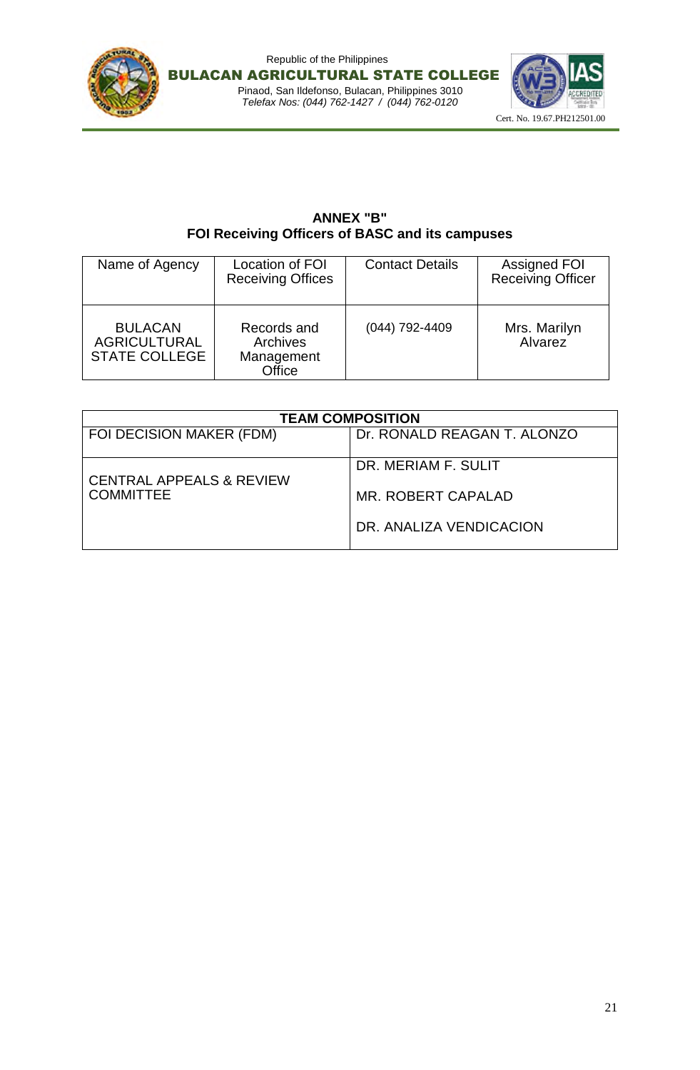





## **ANNEX "B" FOI Receiving Officers of BASC and its campuses**

| Name of Agency                                                | Location of FOI<br><b>Receiving Offices</b>     | <b>Contact Details</b> | <b>Assigned FOI</b><br><b>Receiving Officer</b> |
|---------------------------------------------------------------|-------------------------------------------------|------------------------|-------------------------------------------------|
| <b>BULACAN</b><br><b>AGRICULTURAL</b><br><b>STATE COLLEGE</b> | Records and<br>Archives<br>Management<br>Office | $(044)$ 792-4409       | Mrs. Marilyn<br><b>Alvarez</b>                  |

| <b>TEAM COMPOSITION</b>                                 |                             |  |
|---------------------------------------------------------|-----------------------------|--|
| FOI DECISION MAKER (FDM)                                | Dr. RONALD REAGAN T. ALONZO |  |
| <b>CENTRAL APPEALS &amp; REVIEW</b><br><b>COMMITTEE</b> | DR. MERIAM F. SULIT         |  |
|                                                         | MR. ROBERT CAPALAD          |  |
|                                                         | DR. ANALIZA VENDICACION     |  |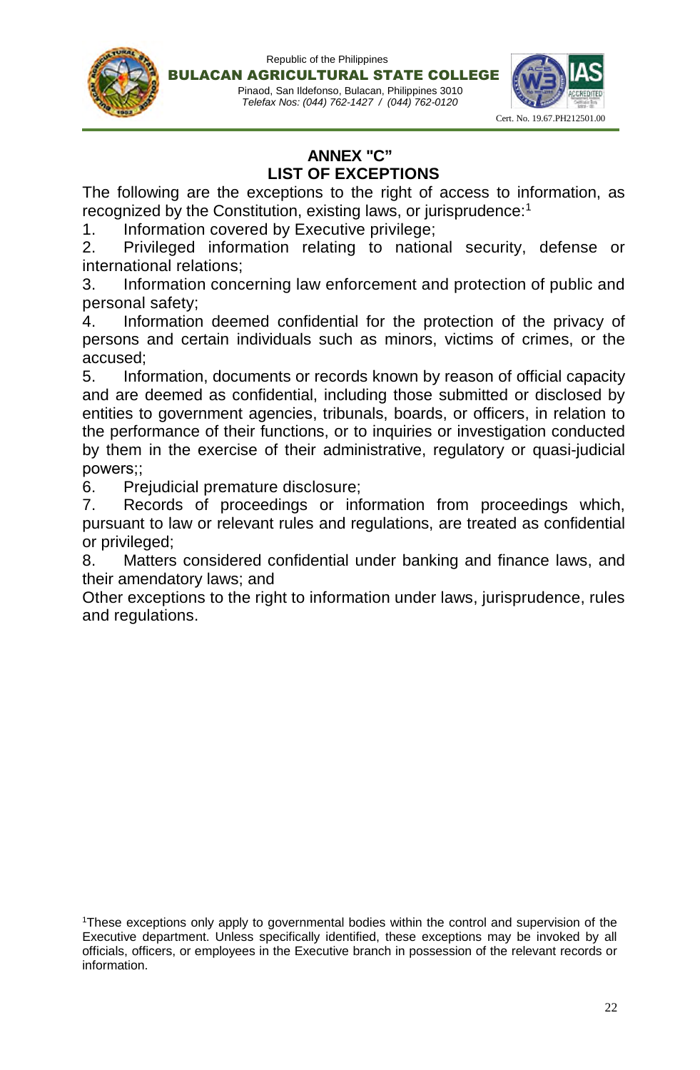

## **ANNEX "C" LIST OF EXCEPTIONS**

The following are the exceptions to the right of access to information, as recognized by the Constitution, existing laws, or jurisprudence:<sup>1</sup>

1. Information covered by Executive privilege;

2. Privileged information relating to national security, defense or international relations;

3. Information concerning law enforcement and protection of public and personal safety;

4. Information deemed confidential for the protection of the privacy of persons and certain individuals such as minors, victims of crimes, or the accused;

5. Information, documents or records known by reason of official capacity and are deemed as confidential, including those submitted or disclosed by entities to government agencies, tribunals, boards, or officers, in relation to the performance of their functions, or to inquiries or investigation conducted by them in the exercise of their administrative, regulatory or quasi-judicial powers;;

6. Prejudicial premature disclosure;

7. Records of proceedings or information from proceedings which, pursuant to law or relevant rules and regulations, are treated as confidential or privileged;

8. Matters considered confidential under banking and finance laws, and their amendatory laws; and

Other exceptions to the right to information under laws, jurisprudence, rules and regulations.

<sup>1</sup>These exceptions only apply to governmental bodies within the control and supervision of the Executive department. Unless specifically identified, these exceptions may be invoked by all officials, officers, or employees in the Executive branch in possession of the relevant records or information.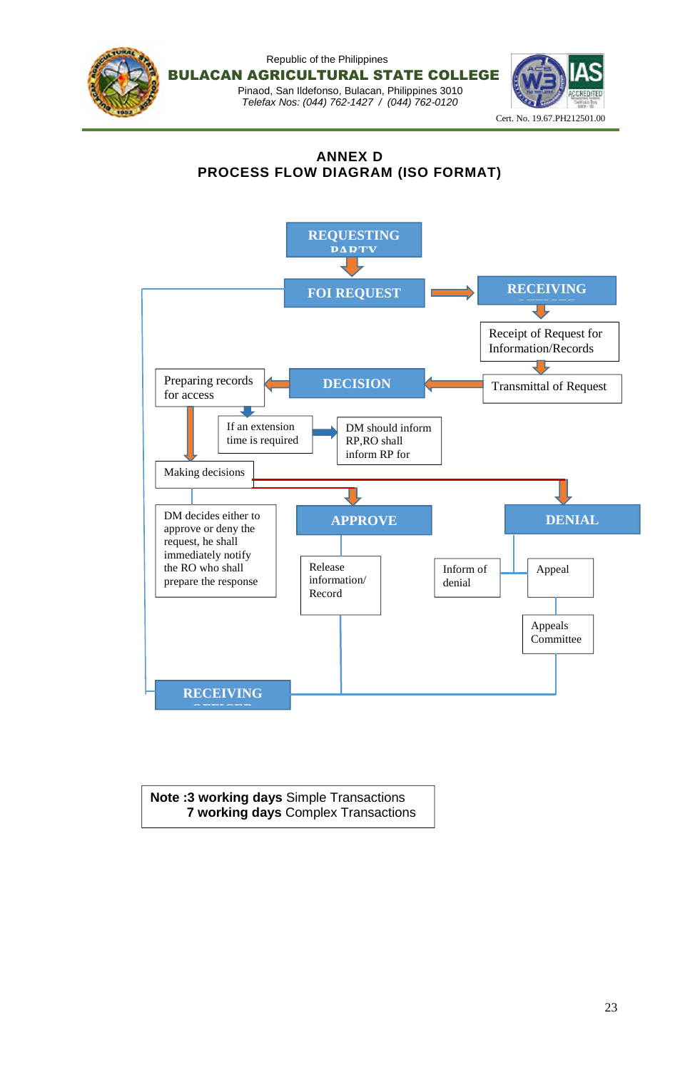

## **ANNEX D PROCESS FLOW DIAGRAM (ISO FORMAT)**



**Note :3 working days** Simple Transactions **7 working days** Complex Transactions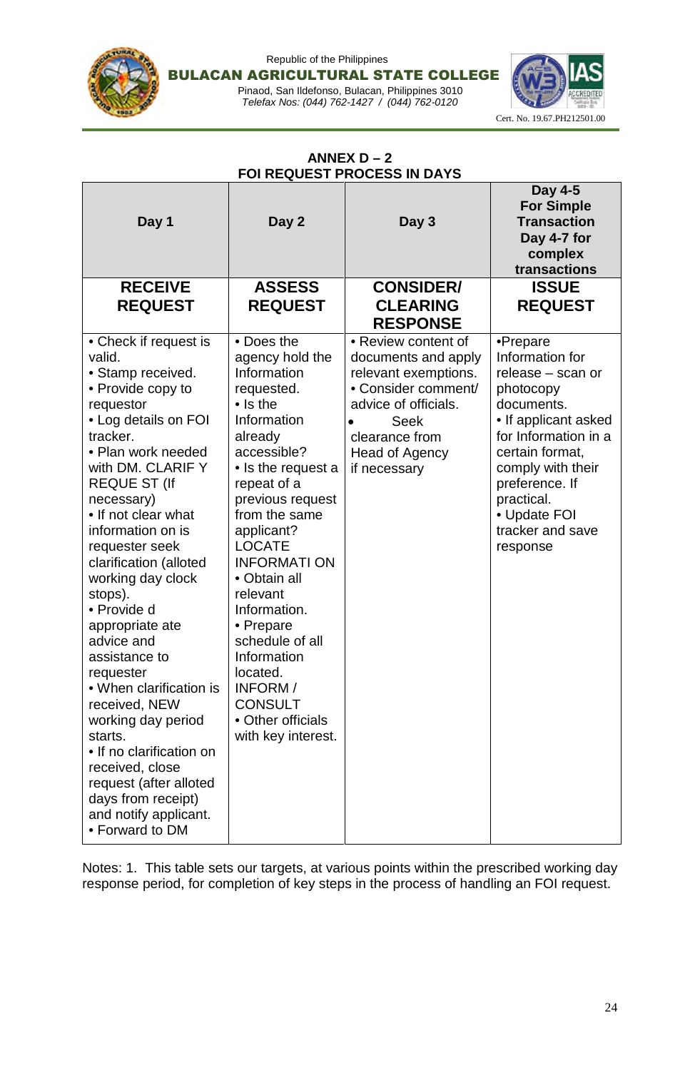

#### Republic of the Philippines BULACAN AGRICULTURAL STATE COLLEGE Pinaod, San Ildefonso, Bulacan, Philippines 3010

*Telefax Nos: (044) 762-1427 / (044) 762-0120*



## **ANNEX D – 2 FOI REQUEST PROCESS IN DAYS**

| Day 1                                                                                                                                                                                                                                                                                                                                                                                                                                                                                                                                                                                                                                    | Day 2                                                                                                                                                                                                                                                                                                                                                                                                                                  | Day 3                                                                                                                                                                                             | Day 4-5<br><b>For Simple</b><br><b>Transaction</b><br>Day 4-7 for<br>complex<br>transactions                                                                                                                                                        |
|------------------------------------------------------------------------------------------------------------------------------------------------------------------------------------------------------------------------------------------------------------------------------------------------------------------------------------------------------------------------------------------------------------------------------------------------------------------------------------------------------------------------------------------------------------------------------------------------------------------------------------------|----------------------------------------------------------------------------------------------------------------------------------------------------------------------------------------------------------------------------------------------------------------------------------------------------------------------------------------------------------------------------------------------------------------------------------------|---------------------------------------------------------------------------------------------------------------------------------------------------------------------------------------------------|-----------------------------------------------------------------------------------------------------------------------------------------------------------------------------------------------------------------------------------------------------|
| <b>RECEIVE</b><br><b>REQUEST</b>                                                                                                                                                                                                                                                                                                                                                                                                                                                                                                                                                                                                         | <b>ASSESS</b><br><b>REQUEST</b>                                                                                                                                                                                                                                                                                                                                                                                                        | <b>CONSIDER/</b><br><b>CLEARING</b><br><b>RESPONSE</b>                                                                                                                                            | <b>ISSUE</b><br><b>REQUEST</b>                                                                                                                                                                                                                      |
| • Check if request is<br>valid.<br>• Stamp received.<br>• Provide copy to<br>requestor<br>• Log details on FOI<br>tracker.<br>• Plan work needed<br>with DM. CLARIF Y<br><b>REQUE ST (If</b><br>necessary)<br>• If not clear what<br>information on is<br>requester seek<br>clarification (alloted<br>working day clock<br>stops).<br>• Provide d<br>appropriate ate<br>advice and<br>assistance to<br>requester<br>• When clarification is<br>received, NEW<br>working day period<br>starts.<br>• If no clarification on<br>received, close<br>request (after alloted<br>days from receipt)<br>and notify applicant.<br>• Forward to DM | • Does the<br>agency hold the<br>Information<br>requested.<br>$\bullet$ Is the<br>Information<br>already<br>accessible?<br>• Is the request a<br>repeat of a<br>previous request<br>from the same<br>applicant?<br><b>LOCATE</b><br><b>INFORMATION</b><br>• Obtain all<br>relevant<br>Information.<br>• Prepare<br>schedule of all<br>Information<br>located.<br>INFORM /<br><b>CONSULT</b><br>• Other officials<br>with key interest. | • Review content of<br>documents and apply<br>relevant exemptions.<br>• Consider comment/<br>advice of officials.<br><b>Seek</b><br>$\bullet$<br>clearance from<br>Head of Agency<br>if necessary | •Prepare<br>Information for<br>release - scan or<br>photocopy<br>documents.<br>• If applicant asked<br>for Information in a<br>certain format,<br>comply with their<br>preference. If<br>practical.<br>• Update FOI<br>tracker and save<br>response |

Notes: 1. This table sets our targets, at various points within the prescribed working day response period, for completion of key steps in the process of handling an FOI request.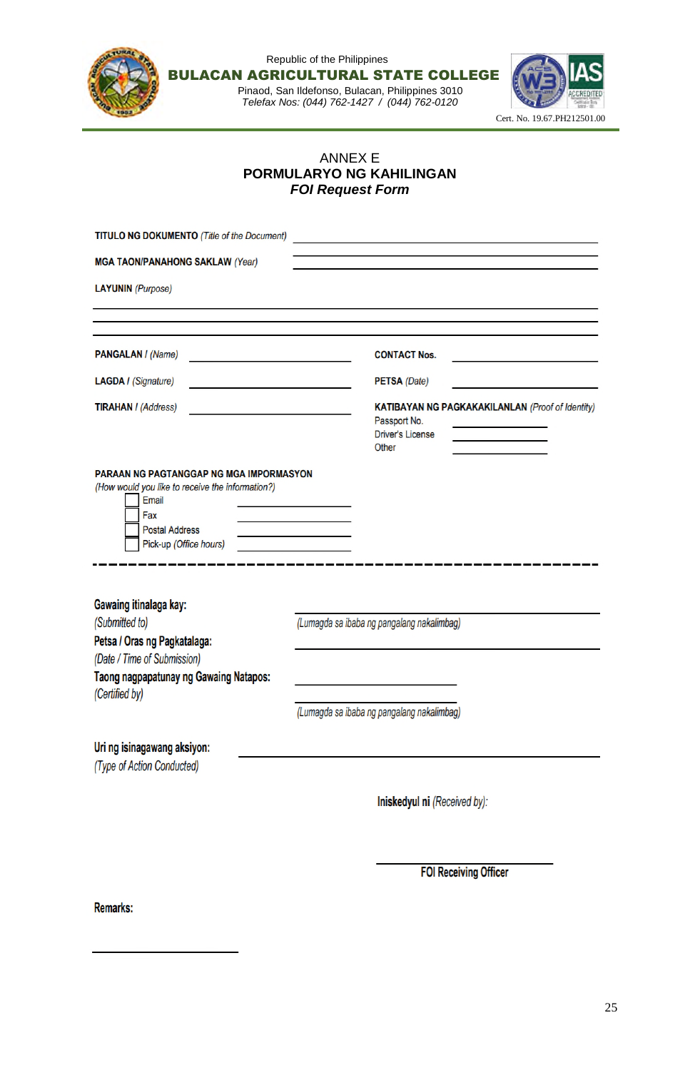

## ANNEX E **PORMULARYO NG KAHILINGAN** *FOI Request Form*

| <b>TITULO NG DOKUMENTO (Title of the Document)</b>                                                                                                             |                                                                                                             |
|----------------------------------------------------------------------------------------------------------------------------------------------------------------|-------------------------------------------------------------------------------------------------------------|
| <b>MGA TAON/PANAHONG SAKLAW (Year)</b>                                                                                                                         |                                                                                                             |
| <b>LAYUNIN</b> (Purpose)                                                                                                                                       |                                                                                                             |
| <b>PANGALAN / (Name)</b>                                                                                                                                       | <b>CONTACT Nos.</b>                                                                                         |
| <b>LAGDA / (Signature)</b>                                                                                                                                     | <b>PETSA</b> (Date)                                                                                         |
| <b>TIRAHAN / (Address)</b>                                                                                                                                     | <b>KATIBAYAN NG PAGKAKAKILANLAN (Proof of Identity)</b><br>Passport No.<br><b>Driver's License</b><br>Other |
| PARAAN NG PAGTANGGAP NG MGA IMPORMASYON<br>(How would you like to receive the information?)<br>Email<br>Fax<br><b>Postal Address</b><br>Pick-up (Office hours) |                                                                                                             |
| Gawaing itinalaga kay:<br>(Submitted to)                                                                                                                       | (Lumagda sa ibaba ng pangalang nakalimbag)                                                                  |
| Petsa / Oras ng Pagkatalaga:                                                                                                                                   |                                                                                                             |
| (Date / Time of Submission)<br><b>Taong nagpapatunay ng Gawaing Natapos:</b><br>(Certified by)                                                                 |                                                                                                             |
|                                                                                                                                                                | (Lumagda sa ibaba ng pangalang nakalimbag)                                                                  |
| Uri ng isinagawang aksiyon:<br>(Type of Action Conducted)                                                                                                      |                                                                                                             |
|                                                                                                                                                                | Iniskedyul ni (Received by):                                                                                |
|                                                                                                                                                                |                                                                                                             |

**FOI Receiving Officer** 

Remarks: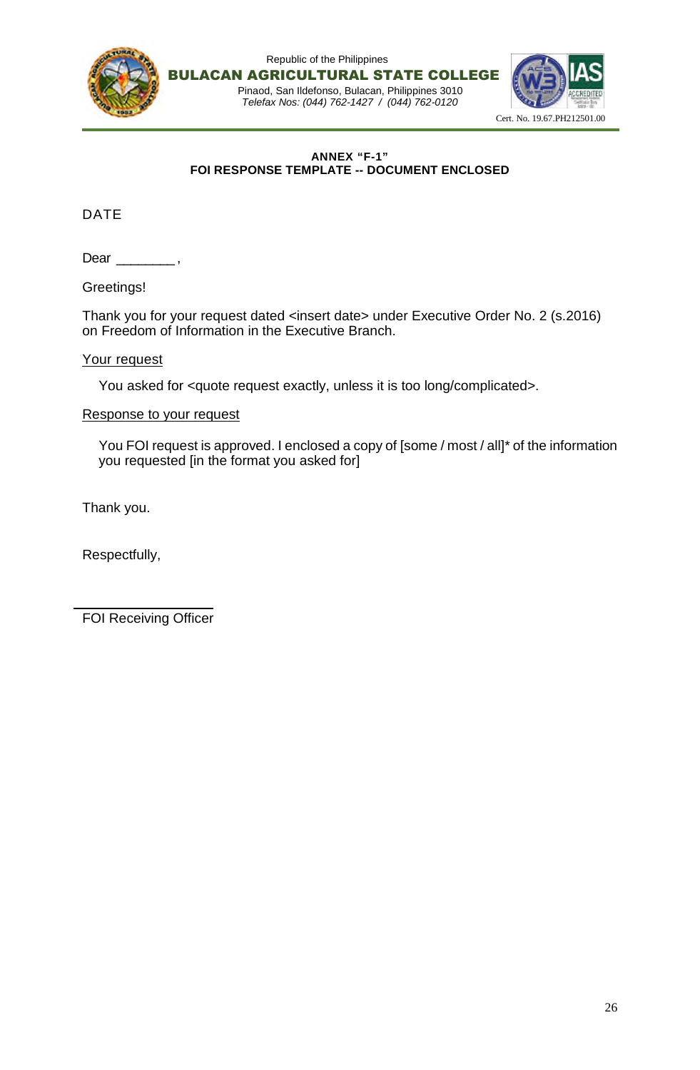

#### **ANNEX "F-1" FOI RESPONSE TEMPLATE -- DOCUMENT ENCLOSED**

DATE

Dear \_\_\_\_\_\_\_\_\_,

Greetings!

Thank you for your request dated <insert date> under Executive Order No. 2 (s.2016) on Freedom of Information in the Executive Branch.

#### Your request

You asked for <quote request exactly, unless it is too long/complicated>.

#### Response to your request

You FOI request is approved. I enclosed a copy of [some / most / all]\* of the information you requested [in the format you asked for]

Thank you.

Respectfully,

FOI Receiving Officer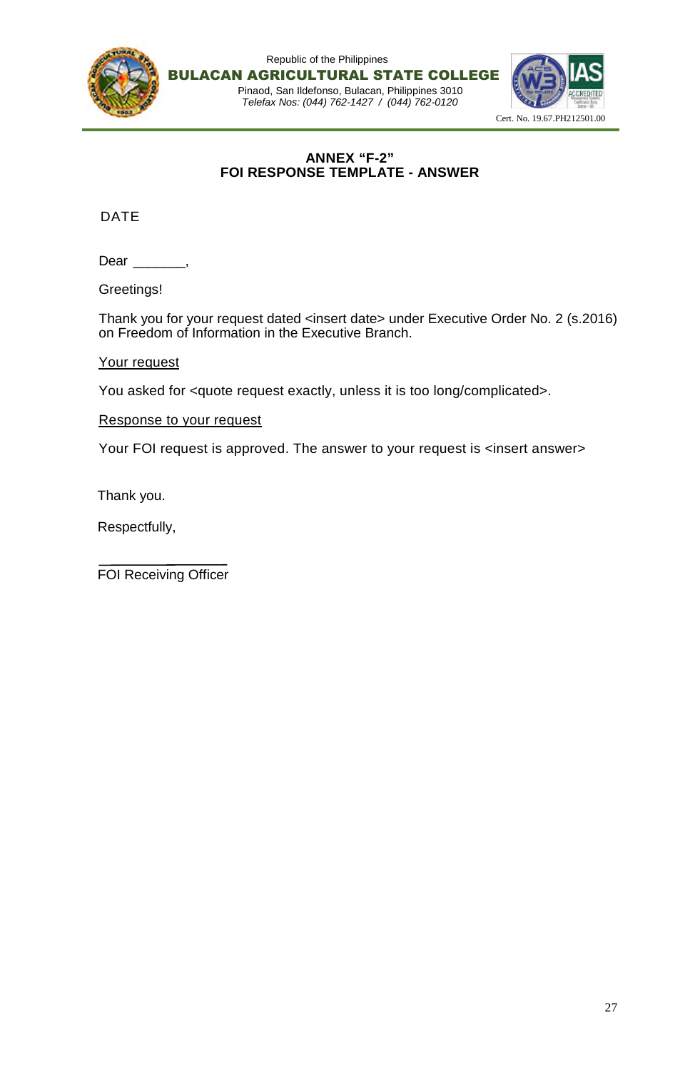

## **ANNEX "F-2" FOI RESPONSE TEMPLATE - ANSWER**

DATE

Dear \_\_\_\_\_\_\_,

Greetings!

Thank you for your request dated <insert date> under Executive Order No. 2 (s.2016) on Freedom of Information in the Executive Branch.

Your request

You asked for <quote request exactly, unless it is too long/complicated>.

Response to your request

Your FOI request is approved. The answer to your request is <insert answer>

Thank you.

Respectfully,

FOI Receiving Officer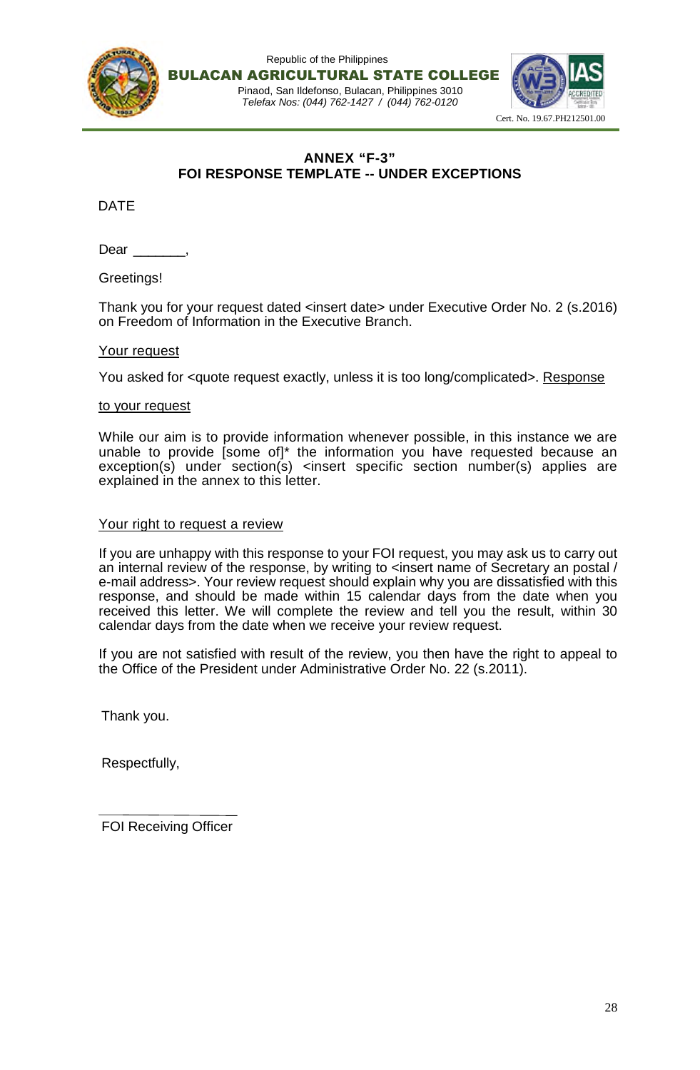

## **ANNEX "F-3" FOI RESPONSE TEMPLATE -- UNDER EXCEPTIONS**

DATE

Dear .

Greetings!

Thank you for your request dated <insert date> under Executive Order No. 2 (s.2016) on Freedom of Information in the Executive Branch.

### Your request

You asked for <quote request exactly, unless it is too long/complicated>. Response

#### to your request

While our aim is to provide information whenever possible, in this instance we are unable to provide [some of]\* the information you have requested because an exception(s) under section(s) <insert specific section number(s) applies are explained in the annex to this letter.

#### Your right to request a review

If you are unhappy with this response to your FOI request, you may ask us to carry out an internal review of the response, by writing to <insert name of Secretary an postal / e-mail address>. Your review request should explain why you are dissatisfied with this response, and should be made within 15 calendar days from the date when you received this letter. We will complete the review and tell you the result, within 30 calendar days from the date when we receive your review request.

If you are not satisfied with result of the review, you then have the right to appeal to the Office of the President under Administrative Order No. 22 (s.2011).

Thank you.

Respectfully,

FOI Receiving Officer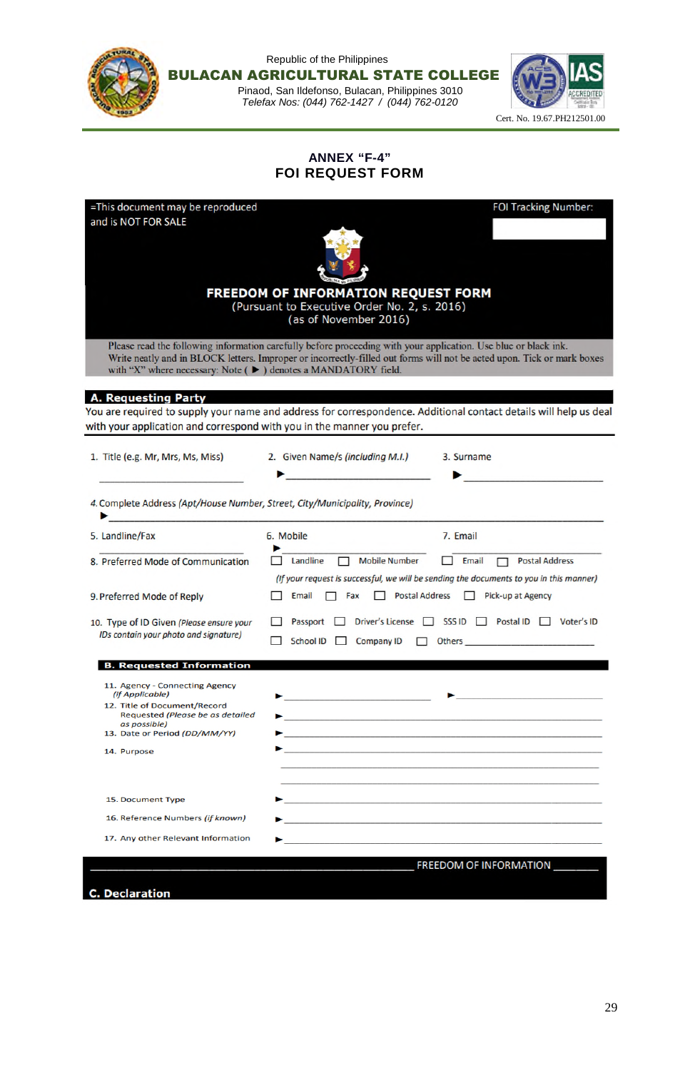|                                                         | Republic of the Philippines<br><b>BULACAN AGRICULTURAL STATE COLLEGE</b><br>Pinaod, San Ildefonso, Bulacan, Philippines 3010<br>Telefax Nos: (044) 762-1427 / (044) 762-0120                                                    | Cert. No. 19.67.PH212501.00 |
|---------------------------------------------------------|---------------------------------------------------------------------------------------------------------------------------------------------------------------------------------------------------------------------------------|-----------------------------|
|                                                         | <b>ANNEX "F-4"</b><br><b>FOI REQUEST FORM</b>                                                                                                                                                                                   |                             |
| =This document may be reproduced<br>and is NOT FOR SALE | FREEDOM OF INFORMATION REQUEST FORM<br>(Pursuant to Executive Order No. 2, s. 2016)<br>(as of November 2016)<br>Please read the following information carefully before proceeding with your application. Use blue or black ink. | <b>FOI Tracking Number:</b> |
|                                                         | Write neatly and in BLOCK letters. Improper or incorrectly-filled out forms will not be acted upon. Tick or mark boxes<br>with "X" where necessary: Note (▶) denotes a MANDATORY field.                                         |                             |

A. Requesting Party<br>You are required to supply your name and address for correspondence. Additional contact details will help us deal with your application and correspond with you in the manner you prefer.

| 1. Title (e.g. Mr, Mrs, Ms, Miss)                                                                                     | 2. Given Name/s (including M.I.)<br>Geometrical constructions of                                                                                                                                                                | 3. Surname                                                                                                                                                                                                                                                                                                                                                                                                                                                                                 |
|-----------------------------------------------------------------------------------------------------------------------|---------------------------------------------------------------------------------------------------------------------------------------------------------------------------------------------------------------------------------|--------------------------------------------------------------------------------------------------------------------------------------------------------------------------------------------------------------------------------------------------------------------------------------------------------------------------------------------------------------------------------------------------------------------------------------------------------------------------------------------|
| 4. Complete Address (Apt/House Number, Street, City/Municipality, Province)                                           | de had a a bandaría d'antichi a padre a comba e anguer nangelo de margo para personas a a anguer nangelo para<br>A segunda de la companya de la companya de la companya de la companya de la companya de la companya de la comp |                                                                                                                                                                                                                                                                                                                                                                                                                                                                                            |
| 5. Landline/Fax                                                                                                       | 6. Mobile                                                                                                                                                                                                                       | 7. Email                                                                                                                                                                                                                                                                                                                                                                                                                                                                                   |
| 8. Preferred Mode of Communication                                                                                    | <b>Mobile Number</b><br>Landline<br>П.                                                                                                                                                                                          | $\Box$ Email<br><b>Postal Address</b><br>(If your request is successful, we will be sending the documents to you in this manner)                                                                                                                                                                                                                                                                                                                                                           |
| 9. Preferred Mode of Reply                                                                                            | Email<br>Fax<br>$\mathbf{1}$                                                                                                                                                                                                    | Postal Address   Pick-up at Agency                                                                                                                                                                                                                                                                                                                                                                                                                                                         |
| 10. Type of ID Given (Please ensure your<br>IDs contain your photo and signature)                                     | Passport<br>School ID<br><b>Company ID</b>                                                                                                                                                                                      | Driver's License □ SSS ID □ Postal ID □ Voter's ID<br>Others and the contract of the contract of the contract of the contract of the contract of the contract of the                                                                                                                                                                                                                                                                                                                       |
| <b>B. Requested Information</b>                                                                                       |                                                                                                                                                                                                                                 |                                                                                                                                                                                                                                                                                                                                                                                                                                                                                            |
| 11. Agency - Connecting Agency<br>(if Applicable)<br>12. Title of Document/Record<br>Requested (Please be as detailed |                                                                                                                                                                                                                                 | $\blacktriangleright$ . The contract of the contract of the contract of $\blacktriangleright$ . The contract of the contract of the contract of the contract of the contract of the contract of the contract of the contract of the contract of the contr<br>the control of the control of the control of the control of the control of the control of the control of the control of the control of the control of the control of the control of the control of the control of the control |
| as possible)<br>13. Date or Period (DD/MM/YY)                                                                         |                                                                                                                                                                                                                                 | <u> 1989 - Johann John Stoff, amerikan besteht al-der al-der al-der al-der al-der al-der al-der al-der al-der al-</u>                                                                                                                                                                                                                                                                                                                                                                      |
| 14. Purpose                                                                                                           |                                                                                                                                                                                                                                 | $\mathcal{L}_{\text{max}}$ . The contract of the contract of the contract of the contract of the contract of the contract of the contract of the contract of the contract of the contract of the contract of the contract of the contract                                                                                                                                                                                                                                                  |
| 15. Document Type                                                                                                     |                                                                                                                                                                                                                                 | in the second control of the second control of the second control of the second control of the second control o                                                                                                                                                                                                                                                                                                                                                                            |
| 16. Reference Numbers (if known)                                                                                      |                                                                                                                                                                                                                                 |                                                                                                                                                                                                                                                                                                                                                                                                                                                                                            |
| 17. Any other Relevant Information                                                                                    |                                                                                                                                                                                                                                 | <u> 1989 - Johann Stoff, amerikansk politiker (d. 1989)</u>                                                                                                                                                                                                                                                                                                                                                                                                                                |
|                                                                                                                       |                                                                                                                                                                                                                                 | FREEDOM OF INFORMATION                                                                                                                                                                                                                                                                                                                                                                                                                                                                     |

**C.** Declaration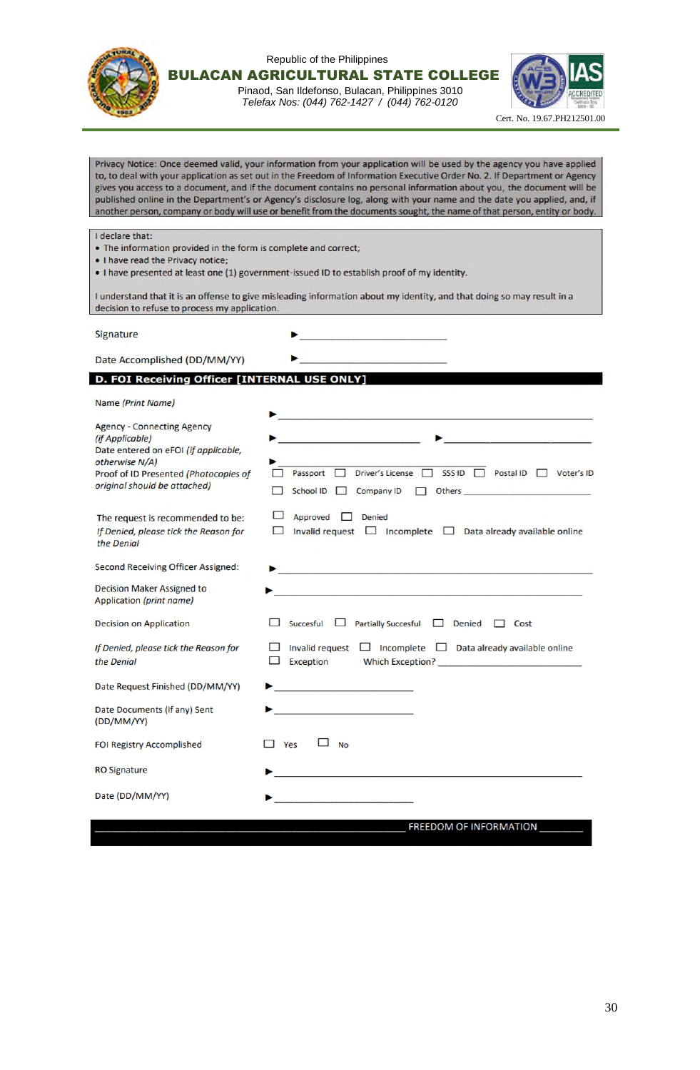

Republic of the Philippines BULACAN AGRICULTURAL STATE COLLEGE

Pinaod, San Ildefonso, Bulacan, Philippines 3010 *Telefax Nos: (044) 762-1427 / (044) 762-0120*



Privacy Notice: Once deemed valid, your information from your application will be used by the agency you have applied to, to deal with your application as set out in the Freedom of Information Executive Order No. 2. If Department or Agency gives you access to a document, and if the document contains no personal information about you, the document will be published online in the Department's or Agency's disclosure log, along with your name and the date you applied, and, if another person, company or body will use or benefit from the documents sought, the name of that person, entity or body.

I declare that:

- The information provided in the form is complete and correct;
- . I have read the Privacy notice;
- . I have presented at least one (1) government-issued ID to establish proof of my identity.

▶

I understand that it is an offense to give misleading information about my identity, and that doing so may result in a decision to refuse to process my application.

Signature

Date Accomplished (DD/MM/YY)

#### D. FOI Receiving Officer [INTERNAL USE ONLY]

Name (Print Name)

| <b>Agency - Connecting Agency</b><br>(if Applicable)<br>Date entered on eFOI (if applicable,<br>otherwise N/A)<br>Proof of ID Presented (Photocopies of<br>original should be attached) | <u> 1994 - Andrea Stein, amerikansk politik</u><br><u> Alexandria (Alexandria Alexandria Alexandria Alexandria Alexandria Alexandria Alexandria Alexandria Alexandri</u><br>Passport <sup>1</sup><br>Driver's License $\Box$<br>SSS ID<br>Postal ID Voter's ID<br>School ID <sup>1</sup><br>Company ID<br>П |
|-----------------------------------------------------------------------------------------------------------------------------------------------------------------------------------------|-------------------------------------------------------------------------------------------------------------------------------------------------------------------------------------------------------------------------------------------------------------------------------------------------------------|
| The request is recommended to be:<br>If Denied, please tick the Reason for<br>the Denial                                                                                                | Approved<br>$\Box$<br><b>Denied</b><br>Invalid request $\Box$ Incomplete $\Box$ Data already available online                                                                                                                                                                                               |
| <b>Second Receiving Officer Assigned:</b>                                                                                                                                               | سيهمه والمستحقة والمستحدث والمتعارض والمتواطئ والمستورد والمتواطئ والمتحدث والمستحدث والمستحقة والمستحرم والمستحر                                                                                                                                                                                           |
| <b>Decision Maker Assigned to</b><br>Application (print name)                                                                                                                           | ومستراما الراويا ومروان المساور والمراوية والمساور والراوية والمرام المستشر ووسيدهن الراوي والراوية والأوروبية والراوي                                                                                                                                                                                      |
| <b>Decision on Application</b>                                                                                                                                                          | Partially Succesful □ Denied<br>Succesful<br>⊔<br>Cost<br>$\mathbf{1}$                                                                                                                                                                                                                                      |
| If Denied, please tick the Reason for<br>the Denial                                                                                                                                     | Incomplete $\Box$ Data already available online<br><b>Invalid request</b><br>–<br><b>Exception</b>                                                                                                                                                                                                          |
| Date Request Finished (DD/MM/YY)                                                                                                                                                        |                                                                                                                                                                                                                                                                                                             |
| Date Documents (if any) Sent<br>(DD/MM/YY)                                                                                                                                              | <u> 1986 - Johann John Harry Amerikaans (</u>                                                                                                                                                                                                                                                               |
| <b>FOI Registry Accomplished</b>                                                                                                                                                        | Yes<br><b>No</b>                                                                                                                                                                                                                                                                                            |
| <b>RO Signature</b>                                                                                                                                                                     |                                                                                                                                                                                                                                                                                                             |
| Date (DD/MM/YY)                                                                                                                                                                         | de el partir medi parametroni el proporcio                                                                                                                                                                                                                                                                  |

FREEDOM OF INFORMATION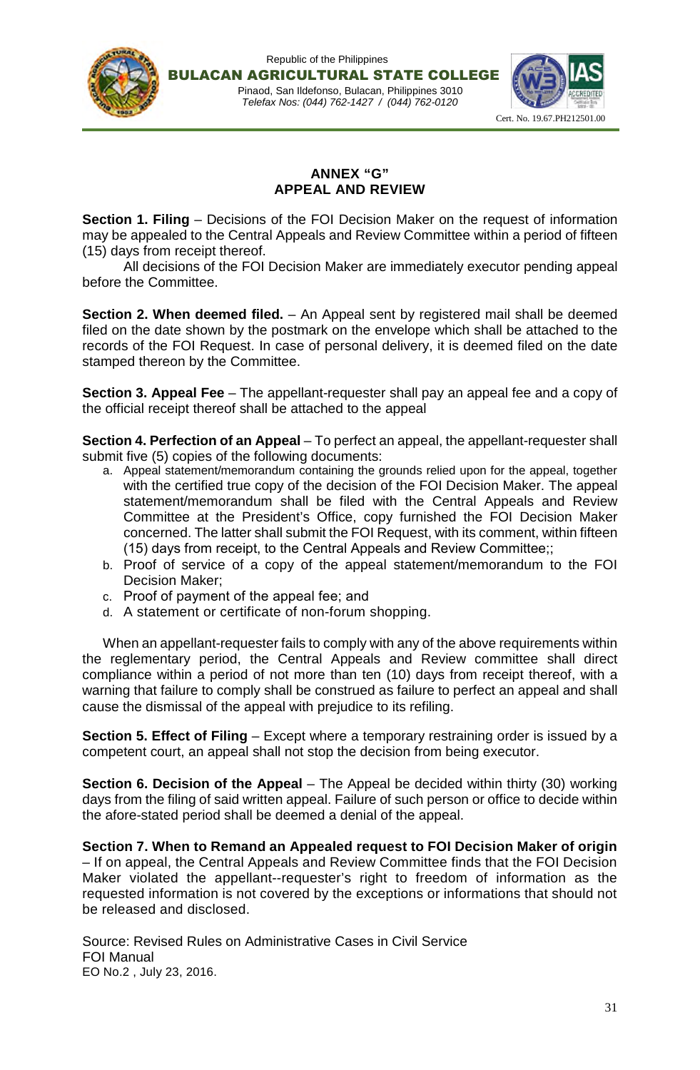



## **ANNEX "G" APPEAL AND REVIEW**

**Section 1. Filing** – Decisions of the FOI Decision Maker on the request of information may be appealed to the Central Appeals and Review Committee within a period of fifteen (15) days from receipt thereof.

All decisions of the FOI Decision Maker are immediately executor pending appeal before the Committee.

**Section 2. When deemed filed.** – An Appeal sent by registered mail shall be deemed filed on the date shown by the postmark on the envelope which shall be attached to the records of the FOI Request. In case of personal delivery, it is deemed filed on the date stamped thereon by the Committee.

**Section 3. Appeal Fee** – The appellant-requester shall pay an appeal fee and a copy of the official receipt thereof shall be attached to the appeal

**Section 4. Perfection of an Appeal** – To perfect an appeal, the appellant-requester shall submit five (5) copies of the following documents:

- a. Appeal statement/memorandum containing the grounds relied upon for the appeal, together with the certified true copy of the decision of the FOI Decision Maker. The appeal statement/memorandum shall be filed with the Central Appeals and Review Committee at the President's Office, copy furnished the FOI Decision Maker concerned. The latter shall submit the FOI Request, with its comment, within fifteen (15) days from receipt, to the Central Appeals and Review Committee;;
- b. Proof of service of a copy of the appeal statement/memorandum to the FOI Decision Maker;
- c. Proof of payment of the appeal fee; and
- d. A statement or certificate of non-forum shopping.

When an appellant-requester fails to comply with any of the above requirements within the reglementary period, the Central Appeals and Review committee shall direct compliance within a period of not more than ten (10) days from receipt thereof, with a warning that failure to comply shall be construed as failure to perfect an appeal and shall cause the dismissal of the appeal with prejudice to its refiling.

**Section 5. Effect of Filing** – Except where a temporary restraining order is issued by a competent court, an appeal shall not stop the decision from being executor.

**Section 6. Decision of the Appeal** – The Appeal be decided within thirty (30) working days from the filing of said written appeal. Failure of such person or office to decide within the afore-stated period shall be deemed a denial of the appeal.

**Section 7. When to Remand an Appealed request to FOI Decision Maker of origin** – If on appeal, the Central Appeals and Review Committee finds that the FOI Decision Maker violated the appellant--requester's right to freedom of information as the requested information is not covered by the exceptions or informations that should not be released and disclosed.

Source: Revised Rules on Administrative Cases in Civil Service FOI Manual EO No.2 , July 23, 2016.